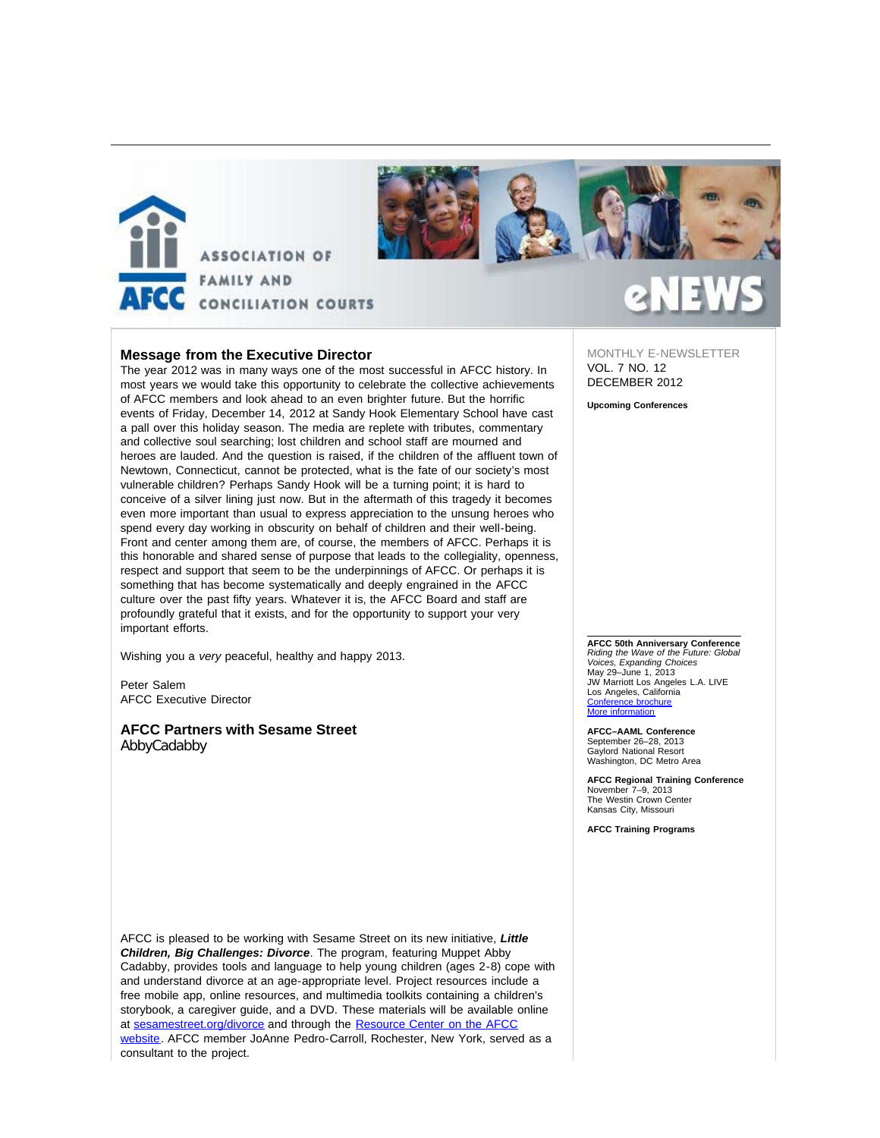



#### **Message from the Executive Director**

The year 2012 was in many ways one of the most successful in AFCC history. In most years we would take this opportunity to celebrate the collective achievements of AFCC members and look ahead to an even brighter future. But the horrific events of Friday, December 14, 2012 at Sandy Hook Elementary School have cast a pall over this holiday season. The media are replete with tributes, commentary and collective soul searching; lost children and school staff are mourned and heroes are lauded. And the question is raised, if the children of the affluent town of Newtown, Connecticut, cannot be protected, what is the fate of our society's most vulnerable children? Perhaps Sandy Hook will be a turning point; it is hard to conceive of a silver lining just now. But in the aftermath of this tragedy it becomes even more important than usual to express appreciation to the unsung heroes who spend every day working in obscurity on behalf of children and their well-being. Front and center among them are, of course, the members of AFCC. Perhaps it is this honorable and shared sense of purpose that leads to the collegiality, openness, respect and support that seem to be the underpinnings of AFCC. Or perhaps it is something that has become systematically and deeply engrained in the AFCC culture over the past fifty years. Whatever it is, the AFCC Board and staff are profoundly grateful that it exists, and for the opportunity to support your very important efforts.

Wishing you a *very* peaceful, healthy and happy 2013.

Peter Salem AFCC Executive Director

# **AFCC Partners with Sesame Street**

AbbyCadabby

MONTHLY E-NEWSLETTER VOL. 7 NO. 12 DECEMBER 2012

**Upcoming Conferences**

**AFCC 50th Anniversary Conference** *Riding the Wave of the Future: Global Voices, Expanding Choices* May 29–June 1, 2013 JW Marriott Los Angeles L.A. LIVE Los Angeles, California [Conference brochure](http://afcc.networkats.com/members_online/utilities/emailct.asp?c14a9d9b66c21db89b4a0c87278185e19002cf02) [More information](http://afcc.networkats.com/members_online/utilities/emailct.asp?0851a1d83ecf5eabd6a2e8150c1826324916f550)

**AFCC–AAML Conference** September 26–28, 2013 Gaylord National Resort Washington, DC Metro Area

**AFCC Regional Training Conference** November 7–9, 2013 The Westin Crown Center Kansas City, Missouri

**AFCC Training Programs**

AFCC is pleased to be working with Sesame Street on its new initiative, *Little Children, Big Challenges: Divorce*. The program, featuring Muppet Abby Cadabby, provides tools and language to help young children (ages 2-8) cope with and understand divorce at an age-appropriate level. Project resources include a free mobile app, online resources, and multimedia toolkits containing a children's storybook, a caregiver guide, and a DVD. These materials will be available online at [sesamestreet.org/divorce](http://afcc.networkats.com/members_online/utilities/emailct.asp?d3b9f3f426bb03f986056a597563701afdb69602) and through the [Resource Center on the AFCC](http://afcc.networkats.com/members_online/utilities/emailct.asp?9d192c170d65d6e673f942cd84549a25b9b0ed24) [website.](http://afcc.networkats.com/members_online/utilities/emailct.asp?9d192c170d65d6e673f942cd84549a25b9b0ed24) AFCC member JoAnne Pedro-Carroll, Rochester, New York, served as a consultant to the project.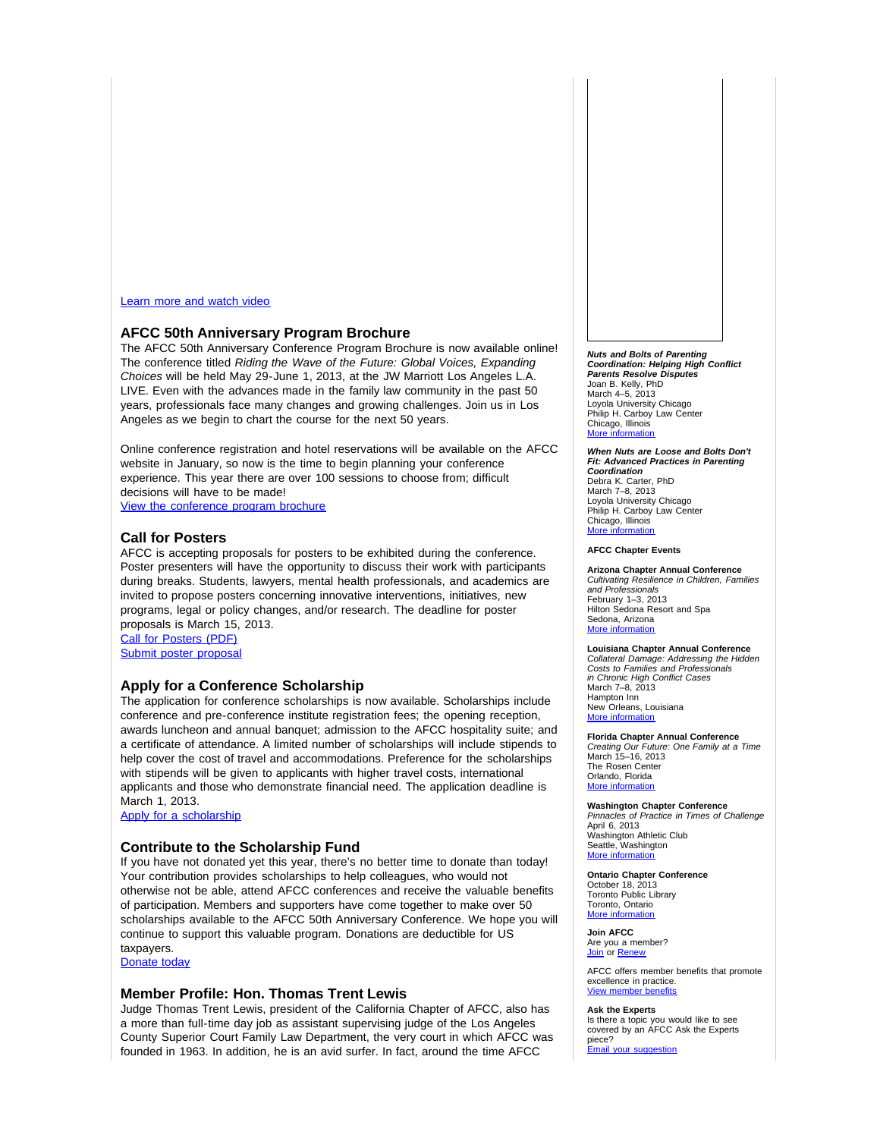

*Nuts and Bolts of Parenting Coordination: Helping High Conflict Parents Resolve Disputes* Joan B. Kelly, PhD March 4–5, 2013 Loyola University Chicago Philip H. Carboy Law Center Chicago, Illinois [More information](http://afcc.networkats.com/members_online/utilities/emailct.asp?d09f9e0ec148c839b624fab66e0f50af173d35e4)

*When Nuts are Loose and Bolts Don't Fit: Advanced Practices in Parenting Coordination* Debra K. Carter, PhD March 7–8, 2013 Loyola University Chicago Philip H. Carboy Law Center Chicago, Illinois [More information](http://afcc.networkats.com/members_online/utilities/emailct.asp?d09f9e0ec148c839b624fab66e0f50af173d35e4)

#### **AFCC Chapter Events**

**Arizona Chapter Annual Conference** *Cultivating Resilience in Children, Families and Professionals* February 1–3, 2013 Hilton Sedona Resort and Spa Sedona, Arizona [More information](http://afcc.networkats.com/members_online/utilities/emailct.asp?3eff29ddcc99c98a8b5789ad955af47673e61a25)

**Louisiana Chapter Annual Conference** *Collateral Damage: Addressing the Hidden Costs to Families and Professionals in Chronic High Conflict Cases* March 7–8, 2013 Hampton Inn New Orleans, Louisiana More inform

**Florida Chapter Annual Conference** *Creating Our Future: One Family at a Time* March 15-16, 2013 The Rosen Center Orlando, Florida [More information](http://afcc.networkats.com/members_online/utilities/emailct.asp?e3bea85f569ca7806fcdb3afc48161f573691d6a)

**Washington Chapter Conference** *Pinnacles of Practice in Times of Challenge* April 6, 2013 Washington Athletic Club Seattle, Washington [More information](http://afcc.networkats.com/members_online/utilities/emailct.asp?95bf7b4eee4fc0889266d1a8134bb16df0c736de)

**Ontario Chapter Conference** October 18, 2013 Toronto Public Library Toronto, Ontario [More information](http://afcc.networkats.com/members_online/utilities/emailct.asp?5b8deccca97099551572fc0c56a99aff2fabda24)

**Join AFCC** Are you a member? [Join](http://afcc.networkats.com/members_online/utilities/emailct.asp?09abb186ae91dd963f6b34061e875742e307e2a9) or [Renew](http://afcc.networkats.com/members_online/utilities/emailct.asp?c8f6ffeae8262d6979c372563dc7a1fa9bef0055)

AFCC offers member benefits that promote excellence in practice. View memb

#### **Ask the Experts**

Is there a topic you would like to see covered by an AFCC Ask the Experts piece?

[Email your suggestion](mailto:editor@afccnet.org)

#### [Learn more and watch video](http://afcc.networkats.com/members_online/utilities/emailct.asp?daf842467c4f90251b45544199346a56fdb8ca7c)

#### **AFCC 50th Anniversary Program Brochure**

The AFCC 50th Anniversary Conference Program Brochure is now available online! The conference titled *Riding the Wave of the Future: Global Voices, Expanding Choices* will be held May 29-June 1, 2013, at the JW Marriott Los Angeles L.A. LIVE. Even with the advances made in the family law community in the past 50 years, professionals face many changes and growing challenges. Join us in Los Angeles as we begin to chart the course for the next 50 years.

Online conference registration and hotel reservations will be available on the AFCC website in January, so now is the time to begin planning your conference experience. This year there are over 100 sessions to choose from; difficult decisions will have to be made!

[View the conference program brochure](http://afcc.networkats.com/members_online/utilities/emailct.asp?0851a1d83ecf5eabd6a2e8150c1826324916f550)

#### **Call for Posters**

AFCC is accepting proposals for posters to be exhibited during the conference. Poster presenters will have the opportunity to discuss their work with participants during breaks. Students, lawyers, mental health professionals, and academics are invited to propose posters concerning innovative interventions, initiatives, new programs, legal or policy changes, and/or research. The deadline for poster proposals is March 15, 2013.

[Call for Posters \(PDF\)](http://afcc.networkats.com/members_online/utilities/emailct.asp?114f99cd11bc562e69d808c411451d78137fc73b) [Submit poster proposal](http://afcc.networkats.com/members_online/utilities/emailct.asp?66b10d00c1a100b7231102fe46ff103692b44693)

#### **Apply for a Conference Scholarship**

The application for conference scholarships is now available. Scholarships include conference and pre-conference institute registration fees; the opening reception, awards luncheon and annual banquet; admission to the AFCC hospitality suite; and a certificate of attendance. A limited number of scholarships will include stipends to help cover the cost of travel and accommodations. Preference for the scholarships with stipends will be given to applicants with higher travel costs, international applicants and those who demonstrate financial need. The application deadline is March 1, 2013.

[Apply for a scholarship](http://afcc.networkats.com/members_online/utilities/emailct.asp?c8319f9e38fbfbc9a8216bb47225e51c7cedef6d)

#### **Contribute to the Scholarship Fund**

If you have not donated yet this year, there's no better time to donate than today! Your contribution provides scholarships to help colleagues, who would not otherwise not be able, attend AFCC conferences and receive the valuable benefits of participation. Members and supporters have come together to make over 50 scholarships available to the AFCC 50th Anniversary Conference. We hope you will continue to support this valuable program. Donations are deductible for US taxpayers.

[Donate today](http://afcc.networkats.com/members_online/utilities/emailct.asp?2f805b3d2e7bcf69ace7e3665d430758ac2ddfce)

#### **Member Profile: Hon. Thomas Trent Lewis**

Judge Thomas Trent Lewis, president of the California Chapter of AFCC, also has a more than full-time day job as assistant supervising judge of the Los Angeles County Superior Court Family Law Department, the very court in which AFCC was founded in 1963. In addition, he is an avid surfer. In fact, around the time AFCC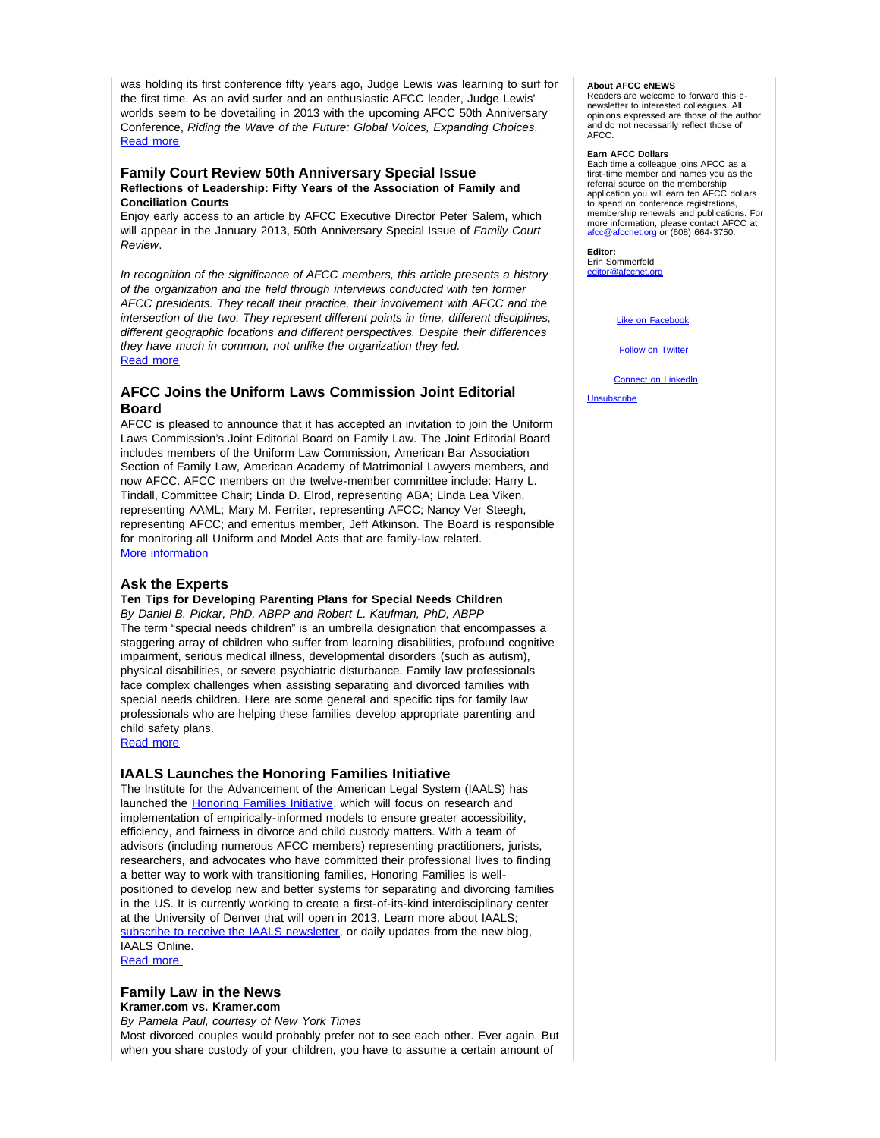was holding its first conference fifty years ago, Judge Lewis was learning to surf for the first time. As an avid surfer and an enthusiastic AFCC leader, Judge Lewis' worlds seem to be dovetailing in 2013 with the upcoming AFCC 50th Anniversary Conference, *Riding the Wave of the Future: Global Voices, Expanding Choices*. [Read more](http://afcc.networkats.com/members_online/utilities/emailct.asp?d9254b67b10b4ba200b17914519e4ecc98562959)

#### **Family Court Review 50th Anniversary Special Issue Reflections of Leadership: Fifty Years of the Association of Family and Conciliation Courts**

Enjoy early access to an article by AFCC Executive Director Peter Salem, which will appear in the January 2013, 50th Anniversary Special Issue of *Family Court Review*.

*In recognition of the significance of AFCC members, this article presents a history of the organization and the field through interviews conducted with ten former AFCC presidents. They recall their practice, their involvement with AFCC and the intersection of the two. They represent different points in time, different disciplines, different geographic locations and different perspectives. Despite their differences they have much in common, not unlike the organization they led.*  [Read more](http://afcc.networkats.com/members_online/utilities/emailct.asp?fe373f7494932a783356b965e22b845ae8f27e87)

#### **AFCC Joins the Uniform Laws Commission Joint Editorial Board**

AFCC is pleased to announce that it has accepted an invitation to join the Uniform Laws Commission's Joint Editorial Board on Family Law. The Joint Editorial Board includes members of the Uniform Law Commission, American Bar Association Section of Family Law, American Academy of Matrimonial Lawyers members, and now AFCC. AFCC members on the twelve-member committee include: Harry L. Tindall, Committee Chair; Linda D. Elrod, representing ABA; Linda Lea Viken, representing AAML; Mary M. Ferriter, representing AFCC; Nancy Ver Steegh, representing AFCC; and emeritus member, Jeff Atkinson. The Board is responsible for monitoring all Uniform and Model Acts that are family-law related. [More information](http://afcc.networkats.com/members_online/utilities/emailct.asp?52c286d33d7cfe5fbd9010a4caec9d749e451de3)

#### **Ask the Experts**

**Ten Tips for Developing Parenting Plans for Special Needs Children** *By Daniel B. Pickar, PhD, ABPP and Robert L. Kaufman, PhD, ABPP*  The term "special needs children" is an umbrella designation that encompasses a staggering array of children who suffer from learning disabilities, profound cognitive impairment, serious medical illness, developmental disorders (such as autism), physical disabilities, or severe psychiatric disturbance. Family law professionals face complex challenges when assisting separating and divorced families with special needs children. Here are some general and specific tips for family law professionals who are helping these families develop appropriate parenting and child safety plans.

[Read more](http://afcc.networkats.com/members_online/utilities/emailct.asp?a4d37568ce32c30c53f77a81e2372f099842948e)

## **IAALS Launches the Honoring Families Initiative**

The Institute for the Advancement of the American Legal System (IAALS) has launched the [Honoring Families Initiative,](http://afcc.networkats.com/members_online/utilities/emailct.asp?32740b03e513ddcf6faf7396792152239695642d) which will focus on research and implementation of empirically-informed models to ensure greater accessibility, efficiency, and fairness in divorce and child custody matters. With a team of advisors (including numerous AFCC members) representing practitioners, jurists, researchers, and advocates who have committed their professional lives to finding a better way to work with transitioning families, Honoring Families is wellpositioned to develop new and better systems for separating and divorcing families in the US. It is currently working to create a first-of-its-kind interdisciplinary center at the University of Denver that will open in 2013. Learn more about IAALS; [subscribe to receive the IAALS newsletter](http://afcc.networkats.com/members_online/utilities/emailct.asp?8a8f03066fa5037914a47d172c57eb4ae74120a0), or daily updates from the new blog, IAALS Online. [Read more](http://afcc.networkats.com/members_online/utilities/emailct.asp?df3b6885ef90cf516f6fc99bfa4fd11755833aa4)

**Family Law in the News Kramer.com vs. Kramer.com**

*By Pamela Paul, courtesy of New York Times*

Most divorced couples would probably prefer not to see each other. Ever again. But when you share custody of your children, you have to assume a certain amount of

#### **About AFCC eNEWS**

Readers are welcome to forward this enewsletter to interested colleagues. All opinions expressed are those of the author and do not necessarily reflect those of AFCC.

#### **Earn AFCC Dollars**

Each time a colleague joins AFCC as a first-time member and names you as the referral source on the membership application you will earn ten AFCC dollars to spend on conference registrations, membership renewals and publications. For more information, please contact AFCC at [afcc@afccnet.org](mailto:afcc@afccnet.org) or (608) 664-3750.

**Editor:**  Erin Sommerfeld [editor@afccnet.org](mailto:editor@afccnet.org)

[Like on Facebook](http://afcc.networkats.com/members_online/utilities/emailct.asp?3eb5e278e31741a4ab10e7ad341484e5d289046e)

[Follow on Twitter](http://afcc.networkats.com/members_online/utilities/emailct.asp?16e09489779f489fb62aedb273b223f448a9b57b)

[Connect on LinkedIn](http://afcc.networkats.com/members_online/utilities/emailct.asp?8feea072f862b786e1a5c674a0d211bf7fdc90c3)

**[Unsubscribe](mailto:afcc@afccnet.org)**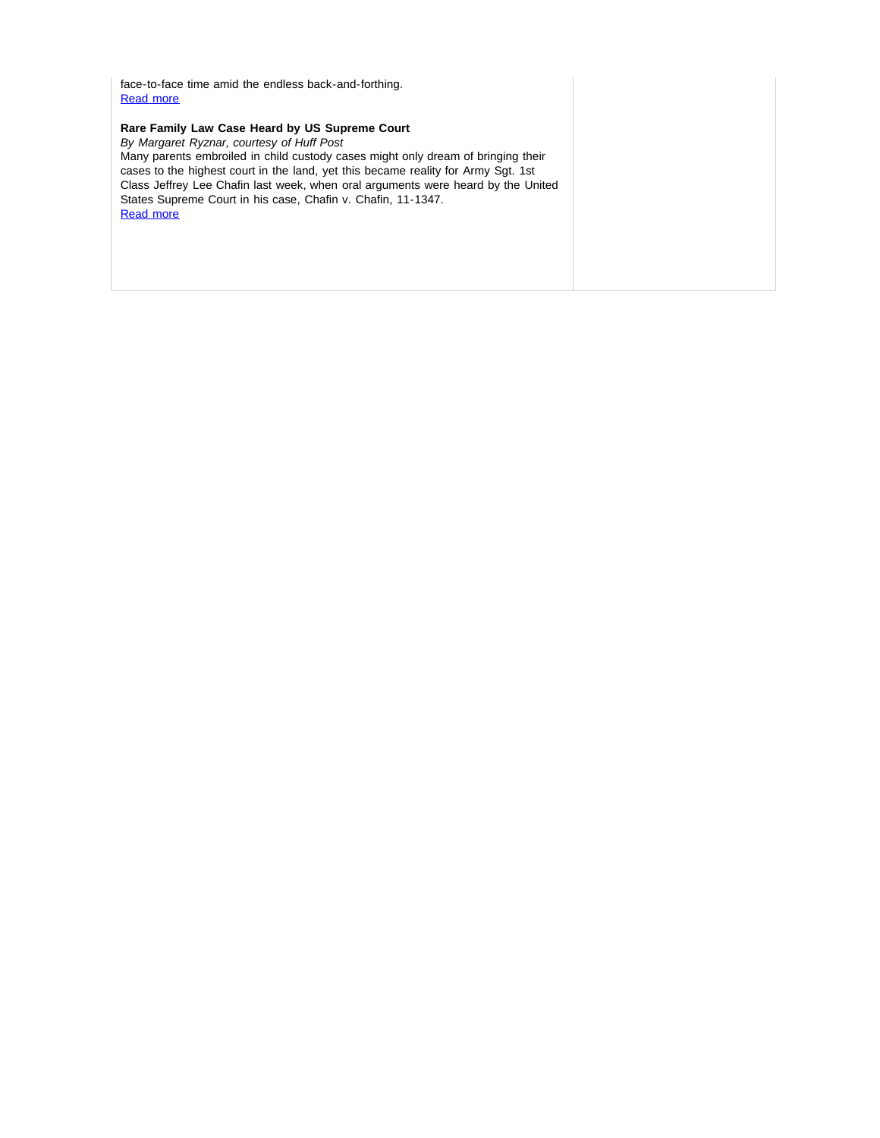face-to-face time amid the endless back-and-forthing. [Read more](http://afcc.networkats.com/members_online/utilities/emailct.asp?8ca703275095813f4cbae57674871f58ea790764)

#### **Rare Family Law Case Heard by US Supreme Court**

*By Margaret Ryznar, courtesy of Huff Post* Many parents embroiled in child custody cases might only dream of bringing their cases to the highest court in the land, yet this became reality for Army Sgt. 1st Class Jeffrey Lee Chafin last week, when oral arguments were heard by the United States Supreme Court in his case, Chafin v. Chafin, 11-1347. [Read more](http://afcc.networkats.com/members_online/utilities/emailct.asp?2f849784f2c0ce1a5542a64fb5b92122e95c2ca3)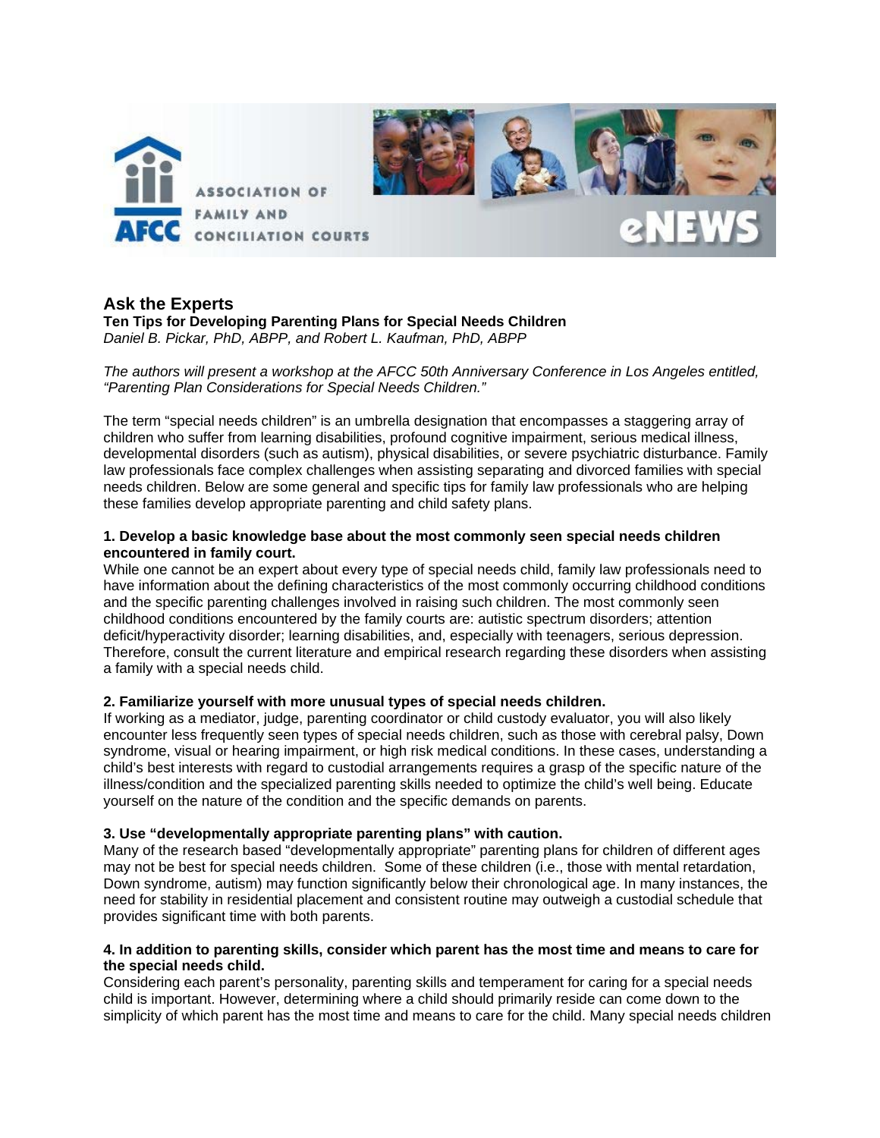

# **Ask the Experts**

## **Ten Tips for Developing Parenting Plans for Special Needs Children**  *Daniel B. Pickar, PhD, ABPP, and Robert L. Kaufman, PhD, ABPP*

*The authors will present a workshop at the AFCC 50th Anniversary Conference in Los Angeles entitled, "Parenting Plan Considerations for Special Needs Children."* 

The term "special needs children" is an umbrella designation that encompasses a staggering array of children who suffer from learning disabilities, profound cognitive impairment, serious medical illness, developmental disorders (such as autism), physical disabilities, or severe psychiatric disturbance. Family law professionals face complex challenges when assisting separating and divorced families with special needs children. Below are some general and specific tips for family law professionals who are helping these families develop appropriate parenting and child safety plans.

## **1. Develop a basic knowledge base about the most commonly seen special needs children encountered in family court.**

While one cannot be an expert about every type of special needs child, family law professionals need to have information about the defining characteristics of the most commonly occurring childhood conditions and the specific parenting challenges involved in raising such children. The most commonly seen childhood conditions encountered by the family courts are: autistic spectrum disorders; attention deficit/hyperactivity disorder; learning disabilities, and, especially with teenagers, serious depression. Therefore, consult the current literature and empirical research regarding these disorders when assisting a family with a special needs child.

## **2. Familiarize yourself with more unusual types of special needs children.**

If working as a mediator, judge, parenting coordinator or child custody evaluator, you will also likely encounter less frequently seen types of special needs children, such as those with cerebral palsy, Down syndrome, visual or hearing impairment, or high risk medical conditions. In these cases, understanding a child's best interests with regard to custodial arrangements requires a grasp of the specific nature of the illness/condition and the specialized parenting skills needed to optimize the child's well being. Educate yourself on the nature of the condition and the specific demands on parents.

## **3. Use "developmentally appropriate parenting plans" with caution.**

Many of the research based "developmentally appropriate" parenting plans for children of different ages may not be best for special needs children. Some of these children (i.e., those with mental retardation, Down syndrome, autism) may function significantly below their chronological age. In many instances, the need for stability in residential placement and consistent routine may outweigh a custodial schedule that provides significant time with both parents.

## **4. In addition to parenting skills, consider which parent has the most time and means to care for the special needs child.**

Considering each parent's personality, parenting skills and temperament for caring for a special needs child is important. However, determining where a child should primarily reside can come down to the simplicity of which parent has the most time and means to care for the child. Many special needs children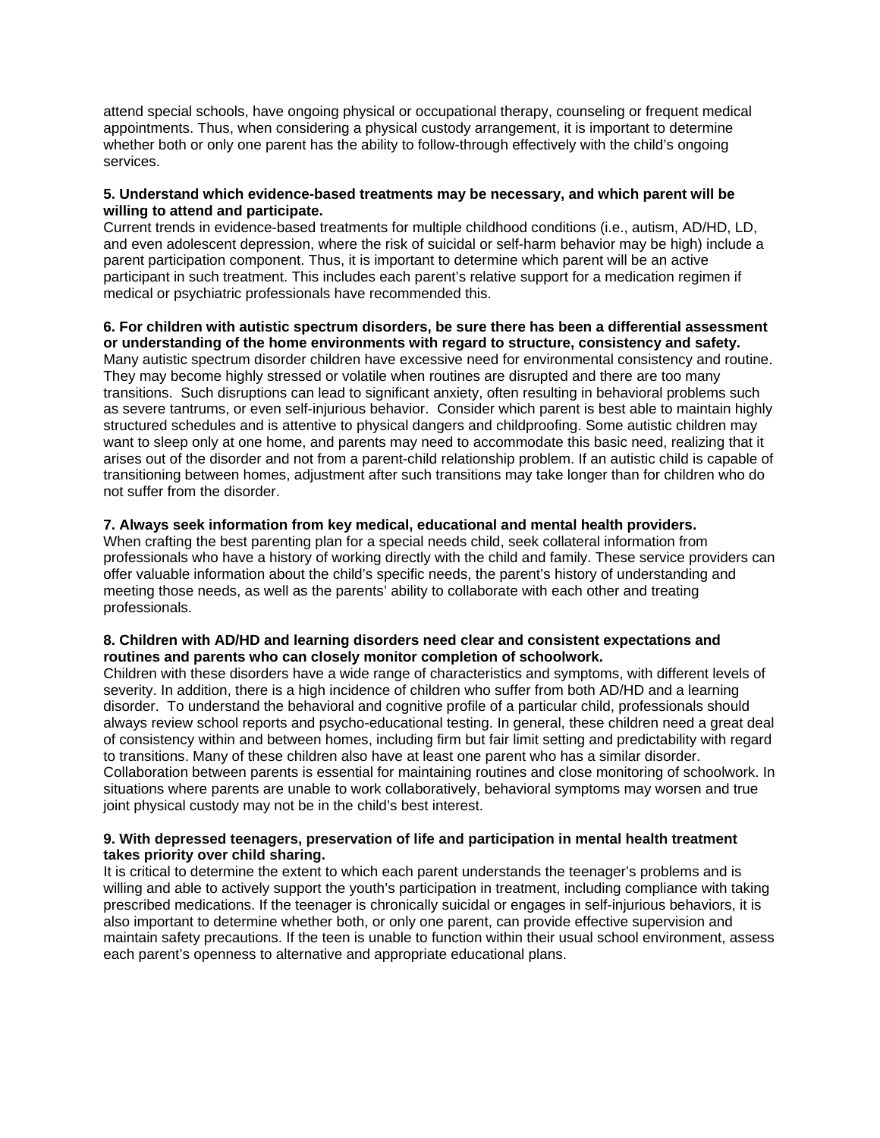attend special schools, have ongoing physical or occupational therapy, counseling or frequent medical appointments. Thus, when considering a physical custody arrangement, it is important to determine whether both or only one parent has the ability to follow-through effectively with the child's ongoing services.

## **5. Understand which evidence-based treatments may be necessary, and which parent will be willing to attend and participate.**

Current trends in evidence-based treatments for multiple childhood conditions (i.e., autism, AD/HD, LD, and even adolescent depression, where the risk of suicidal or self-harm behavior may be high) include a parent participation component. Thus, it is important to determine which parent will be an active participant in such treatment. This includes each parent's relative support for a medication regimen if medical or psychiatric professionals have recommended this.

#### **6. For children with autistic spectrum disorders, be sure there has been a differential assessment or understanding of the home environments with regard to structure, consistency and safety.**

Many autistic spectrum disorder children have excessive need for environmental consistency and routine. They may become highly stressed or volatile when routines are disrupted and there are too many transitions. Such disruptions can lead to significant anxiety, often resulting in behavioral problems such as severe tantrums, or even self-injurious behavior. Consider which parent is best able to maintain highly structured schedules and is attentive to physical dangers and childproofing. Some autistic children may want to sleep only at one home, and parents may need to accommodate this basic need, realizing that it arises out of the disorder and not from a parent-child relationship problem. If an autistic child is capable of transitioning between homes, adjustment after such transitions may take longer than for children who do not suffer from the disorder.

## **7. Always seek information from key medical, educational and mental health providers.**

When crafting the best parenting plan for a special needs child, seek collateral information from professionals who have a history of working directly with the child and family. These service providers can offer valuable information about the child's specific needs, the parent's history of understanding and meeting those needs, as well as the parents' ability to collaborate with each other and treating professionals.

## **8. Children with AD/HD and learning disorders need clear and consistent expectations and routines and parents who can closely monitor completion of schoolwork.**

Children with these disorders have a wide range of characteristics and symptoms, with different levels of severity. In addition, there is a high incidence of children who suffer from both AD/HD and a learning disorder. To understand the behavioral and cognitive profile of a particular child, professionals should always review school reports and psycho-educational testing. In general, these children need a great deal of consistency within and between homes, including firm but fair limit setting and predictability with regard to transitions. Many of these children also have at least one parent who has a similar disorder. Collaboration between parents is essential for maintaining routines and close monitoring of schoolwork. In situations where parents are unable to work collaboratively, behavioral symptoms may worsen and true joint physical custody may not be in the child's best interest.

## **9. With depressed teenagers, preservation of life and participation in mental health treatment takes priority over child sharing.**

It is critical to determine the extent to which each parent understands the teenager's problems and is willing and able to actively support the youth's participation in treatment, including compliance with taking prescribed medications. If the teenager is chronically suicidal or engages in self-injurious behaviors, it is also important to determine whether both, or only one parent, can provide effective supervision and maintain safety precautions. If the teen is unable to function within their usual school environment, assess each parent's openness to alternative and appropriate educational plans.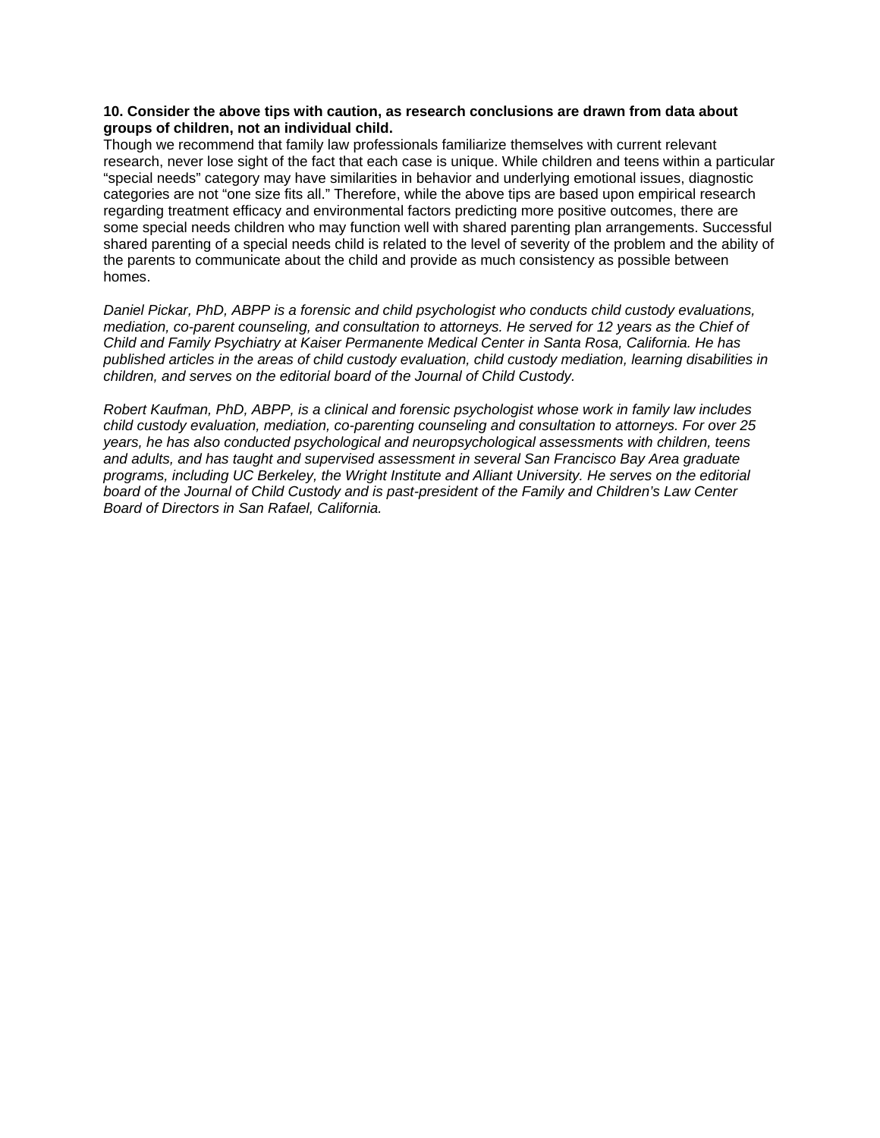## **10. Consider the above tips with caution, as research conclusions are drawn from data about groups of children, not an individual child.**

Though we recommend that family law professionals familiarize themselves with current relevant research, never lose sight of the fact that each case is unique. While children and teens within a particular "special needs" category may have similarities in behavior and underlying emotional issues, diagnostic categories are not "one size fits all." Therefore, while the above tips are based upon empirical research regarding treatment efficacy and environmental factors predicting more positive outcomes, there are some special needs children who may function well with shared parenting plan arrangements. Successful shared parenting of a special needs child is related to the level of severity of the problem and the ability of the parents to communicate about the child and provide as much consistency as possible between homes.

*Daniel Pickar, PhD, ABPP is a forensic and child psychologist who conducts child custody evaluations, mediation, co-parent counseling, and consultation to attorneys. He served for 12 years as the Chief of Child and Family Psychiatry at Kaiser Permanente Medical Center in Santa Rosa, California. He has published articles in the areas of child custody evaluation, child custody mediation, learning disabilities in children, and serves on the editorial board of the Journal of Child Custody.* 

*Robert Kaufman, PhD, ABPP, is a clinical and forensic psychologist whose work in family law includes child custody evaluation, mediation, co-parenting counseling and consultation to attorneys. For over 25 years, he has also conducted psychological and neuropsychological assessments with children, teens and adults, and has taught and supervised assessment in several San Francisco Bay Area graduate programs, including UC Berkeley, the Wright Institute and Alliant University. He serves on the editorial board of the Journal of Child Custody and is past-president of the Family and Children's Law Center Board of Directors in San Rafael, California.*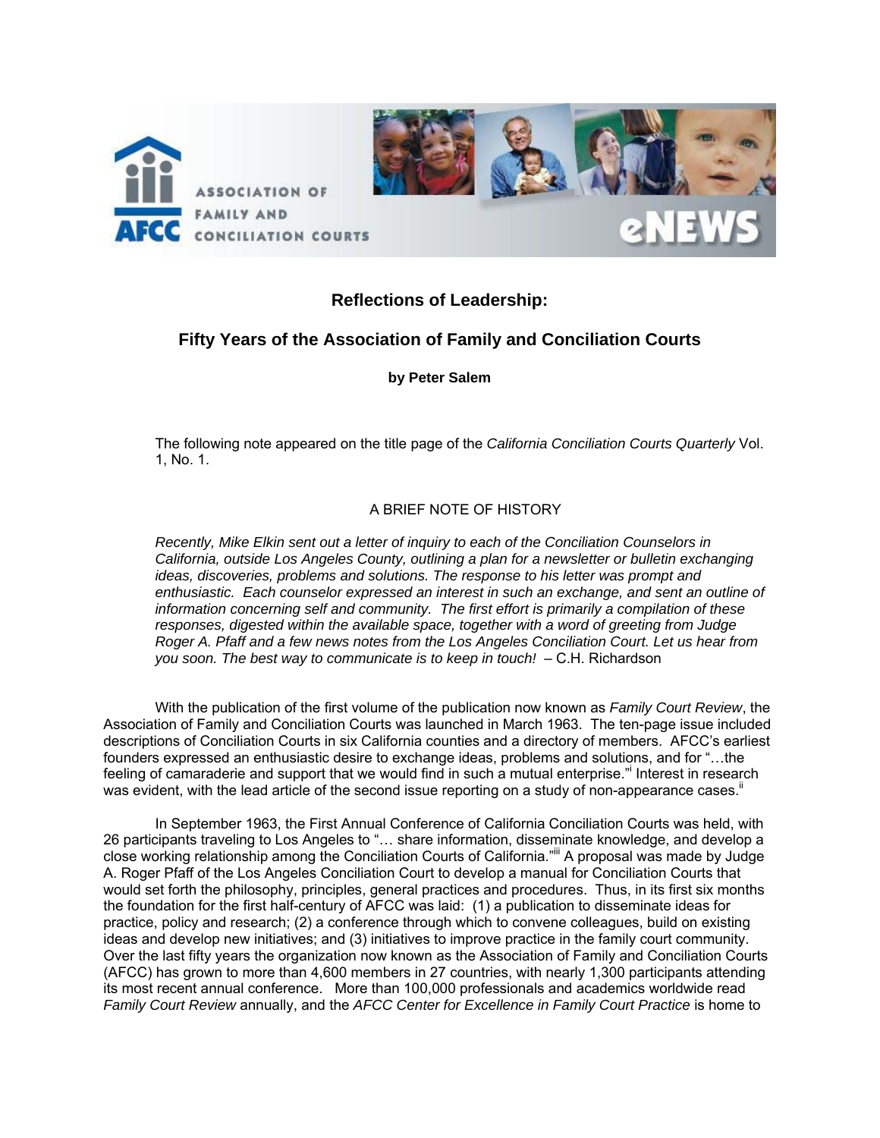

# **Reflections of Leadership:**

# **Fifty Years of the Association of Family and Conciliation Courts**

**by Peter Salem** 

The following note appeared on the title page of the *California Conciliation Courts Quarterly* Vol. 1, No. 1.

## A BRIEF NOTE OF HISTORY

*Recently, Mike Elkin sent out a letter of inquiry to each of the Conciliation Counselors in California, outside Los Angeles County, outlining a plan for a newsletter or bulletin exchanging*  ideas, discoveries, problems and solutions. The response to his letter was prompt and *enthusiastic. Each counselor expressed an interest in such an exchange, and sent an outline of information concerning self and community. The first effort is primarily a compilation of these responses, digested within the available space, together with a word of greeting from Judge Roger A. Pfaff and a few news notes from the Los Angeles Conciliation Court. Let us hear from you soon. The best way to communicate is to keep in touch!* – C.H. Richardson

With the publication of the first volume of the publication now known as *Family Court Review*, the Association of Family and Conciliation Courts was launched in March 1963. The ten-page issue included descriptions of Conciliation Courts in six California counties and a directory of members. AFCC's earliest founders expressed an enthusiastic desire to exchange ideas, problems and solutions, and for "…the feeling of camaraderie and support that we would find in such a mutual enterprise." Interest in research was evident, with the lead article of the second issue reporting on a study of non-appearance cases.<sup>ii</sup>

In September 1963, the First Annual Conference of California Conciliation Courts was held, with 26 participants traveling to Los Angeles to "… share information, disseminate knowledge, and develop a close working relationship among the Conciliation Courts of California."iii A proposal was made by Judge A. Roger Pfaff of the Los Angeles Conciliation Court to develop a manual for Conciliation Courts that would set forth the philosophy, principles, general practices and procedures. Thus, in its first six months the foundation for the first half-century of AFCC was laid: (1) a publication to disseminate ideas for practice, policy and research; (2) a conference through which to convene colleagues, build on existing ideas and develop new initiatives; and (3) initiatives to improve practice in the family court community. Over the last fifty years the organization now known as the Association of Family and Conciliation Courts (AFCC) has grown to more than 4,600 members in 27 countries, with nearly 1,300 participants attending its most recent annual conference. More than 100,000 professionals and academics worldwide read *Family Court Review* annually, and the *AFCC Center for Excellence in Family Court Practice* is home to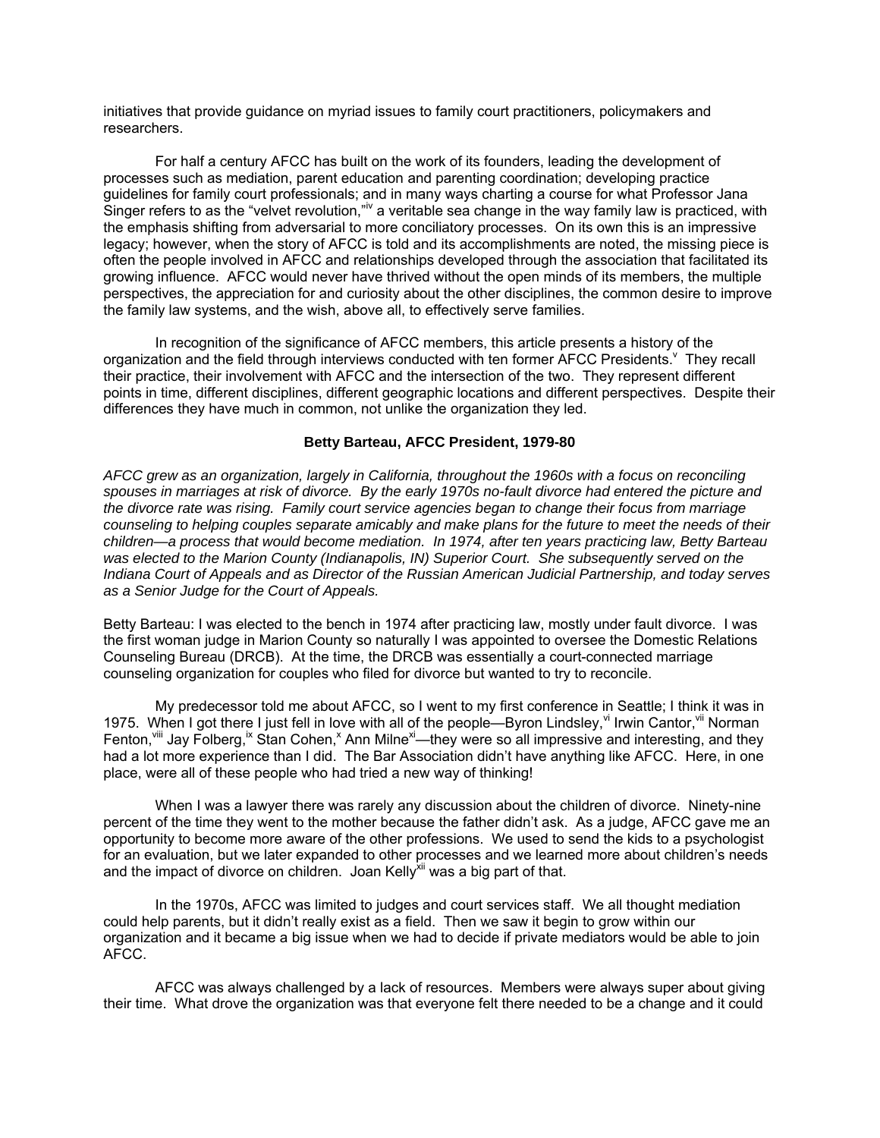initiatives that provide guidance on myriad issues to family court practitioners, policymakers and researchers.

For half a century AFCC has built on the work of its founders, leading the development of processes such as mediation, parent education and parenting coordination; developing practice guidelines for family court professionals; and in many ways charting a course for what Professor Jana Singer refers to as the "velvet revolution,"<sup>iv</sup> a veritable sea change in the way family law is practiced, with the emphasis shifting from adversarial to more conciliatory processes. On its own this is an impressive legacy; however, when the story of AFCC is told and its accomplishments are noted, the missing piece is often the people involved in AFCC and relationships developed through the association that facilitated its growing influence. AFCC would never have thrived without the open minds of its members, the multiple perspectives, the appreciation for and curiosity about the other disciplines, the common desire to improve the family law systems, and the wish, above all, to effectively serve families.

In recognition of the significance of AFCC members, this article presents a history of the organization and the field through interviews conducted with ten former AFCC Presidents. They recall their practice, their involvement with AFCC and the intersection of the two. They represent different points in time, different disciplines, different geographic locations and different perspectives. Despite their differences they have much in common, not unlike the organization they led.

## **Betty Barteau, AFCC President, 1979-80**

*AFCC grew as an organization, largely in California, throughout the 1960s with a focus on reconciling spouses in marriages at risk of divorce. By the early 1970s no-fault divorce had entered the picture and the divorce rate was rising. Family court service agencies began to change their focus from marriage counseling to helping couples separate amicably and make plans for the future to meet the needs of their children—a process that would become mediation. In 1974, after ten years practicing law, Betty Barteau was elected to the Marion County (Indianapolis, IN) Superior Court. She subsequently served on the Indiana Court of Appeals and as Director of the Russian American Judicial Partnership, and today serves as a Senior Judge for the Court of Appeals.* 

Betty Barteau: I was elected to the bench in 1974 after practicing law, mostly under fault divorce. I was the first woman judge in Marion County so naturally I was appointed to oversee the Domestic Relations Counseling Bureau (DRCB). At the time, the DRCB was essentially a court-connected marriage counseling organization for couples who filed for divorce but wanted to try to reconcile.

My predecessor told me about AFCC, so I went to my first conference in Seattle; I think it was in 1975. When I got there I just fell in love with all of the people—Byron Lindsley, vil Irwin Cantor, vil Norman Fenton, <sup>viii</sup> Jay Folberg, <sup>ix</sup> Stan Cohen,<sup>x</sup> Ann Milne<sup>xi</sup>—they were so all impressive and interesting, and they had a lot more experience than I did. The Bar Association didn't have anything like AFCC. Here, in one place, were all of these people who had tried a new way of thinking!

When I was a lawyer there was rarely any discussion about the children of divorce. Ninety-nine percent of the time they went to the mother because the father didn't ask. As a judge, AFCC gave me an opportunity to become more aware of the other professions. We used to send the kids to a psychologist for an evaluation, but we later expanded to other processes and we learned more about children's needs and the impact of divorce on children. Joan Kelly<sup>xii</sup> was a big part of that.

In the 1970s, AFCC was limited to judges and court services staff. We all thought mediation could help parents, but it didn't really exist as a field. Then we saw it begin to grow within our organization and it became a big issue when we had to decide if private mediators would be able to join AFCC.

AFCC was always challenged by a lack of resources. Members were always super about giving their time. What drove the organization was that everyone felt there needed to be a change and it could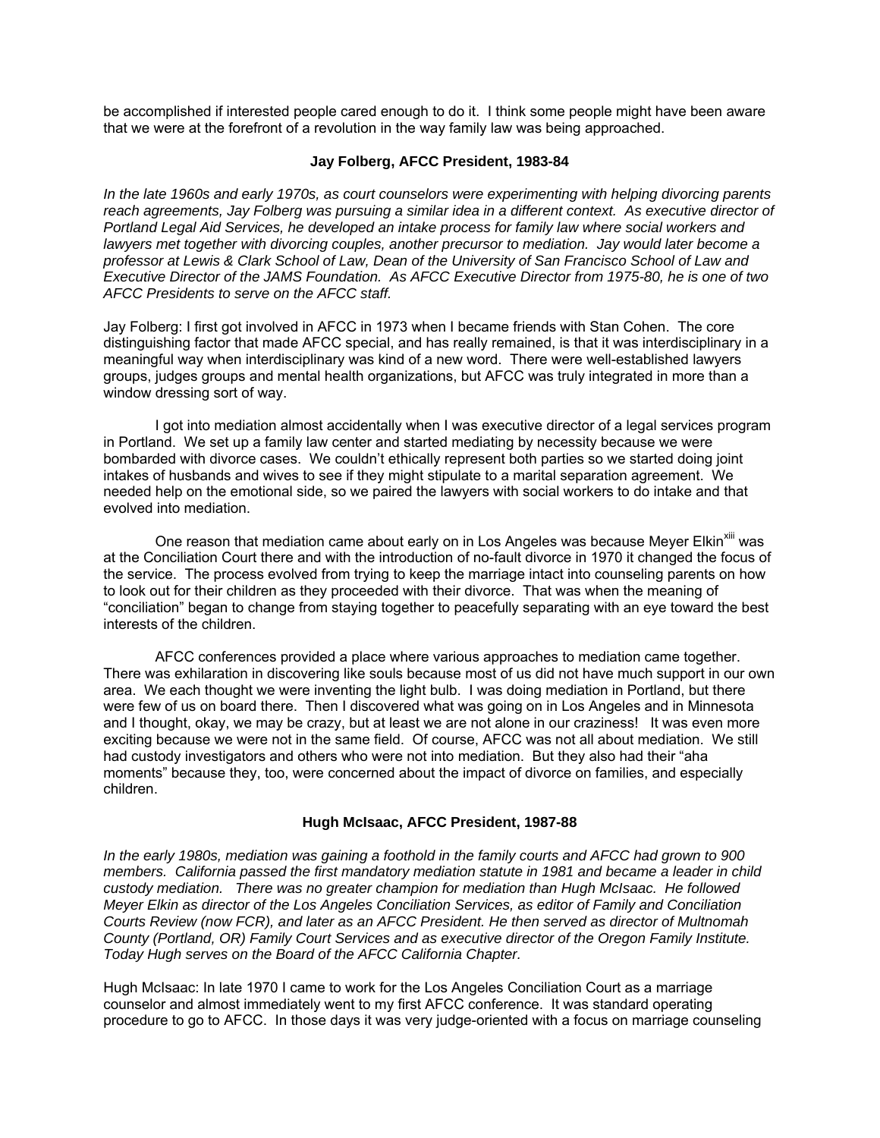be accomplished if interested people cared enough to do it. I think some people might have been aware that we were at the forefront of a revolution in the way family law was being approached.

## **Jay Folberg, AFCC President, 1983-84**

*In the late 1960s and early 1970s, as court counselors were experimenting with helping divorcing parents reach agreements, Jay Folberg was pursuing a similar idea in a different context. As executive director of Portland Legal Aid Services, he developed an intake process for family law where social workers and*  lawyers met together with divorcing couples, another precursor to mediation. Jay would later become a *professor at Lewis & Clark School of Law, Dean of the University of San Francisco School of Law and Executive Director of the JAMS Foundation. As AFCC Executive Director from 1975-80, he is one of two AFCC Presidents to serve on the AFCC staff.* 

Jay Folberg: I first got involved in AFCC in 1973 when I became friends with Stan Cohen. The core distinguishing factor that made AFCC special, and has really remained, is that it was interdisciplinary in a meaningful way when interdisciplinary was kind of a new word. There were well-established lawyers groups, judges groups and mental health organizations, but AFCC was truly integrated in more than a window dressing sort of way.

I got into mediation almost accidentally when I was executive director of a legal services program in Portland. We set up a family law center and started mediating by necessity because we were bombarded with divorce cases. We couldn't ethically represent both parties so we started doing joint intakes of husbands and wives to see if they might stipulate to a marital separation agreement. We needed help on the emotional side, so we paired the lawyers with social workers to do intake and that evolved into mediation.

One reason that mediation came about early on in Los Angeles was because Meyer Elkin<sup>xiii</sup> was at the Conciliation Court there and with the introduction of no-fault divorce in 1970 it changed the focus of the service. The process evolved from trying to keep the marriage intact into counseling parents on how to look out for their children as they proceeded with their divorce. That was when the meaning of "conciliation" began to change from staying together to peacefully separating with an eye toward the best interests of the children.

AFCC conferences provided a place where various approaches to mediation came together. There was exhilaration in discovering like souls because most of us did not have much support in our own area. We each thought we were inventing the light bulb. I was doing mediation in Portland, but there were few of us on board there. Then I discovered what was going on in Los Angeles and in Minnesota and I thought, okay, we may be crazy, but at least we are not alone in our craziness! It was even more exciting because we were not in the same field. Of course, AFCC was not all about mediation. We still had custody investigators and others who were not into mediation. But they also had their "aha moments" because they, too, were concerned about the impact of divorce on families, and especially children.

#### **Hugh McIsaac, AFCC President, 1987-88**

*In the early 1980s, mediation was gaining a foothold in the family courts and AFCC had grown to 900 members. California passed the first mandatory mediation statute in 1981 and became a leader in child custody mediation. There was no greater champion for mediation than Hugh McIsaac. He followed Meyer Elkin as director of the Los Angeles Conciliation Services, as editor of Family and Conciliation Courts Review (now FCR), and later as an AFCC President. He then served as director of Multnomah County (Portland, OR) Family Court Services and as executive director of the Oregon Family Institute. Today Hugh serves on the Board of the AFCC California Chapter.* 

Hugh McIsaac: In late 1970 I came to work for the Los Angeles Conciliation Court as a marriage counselor and almost immediately went to my first AFCC conference. It was standard operating procedure to go to AFCC. In those days it was very judge-oriented with a focus on marriage counseling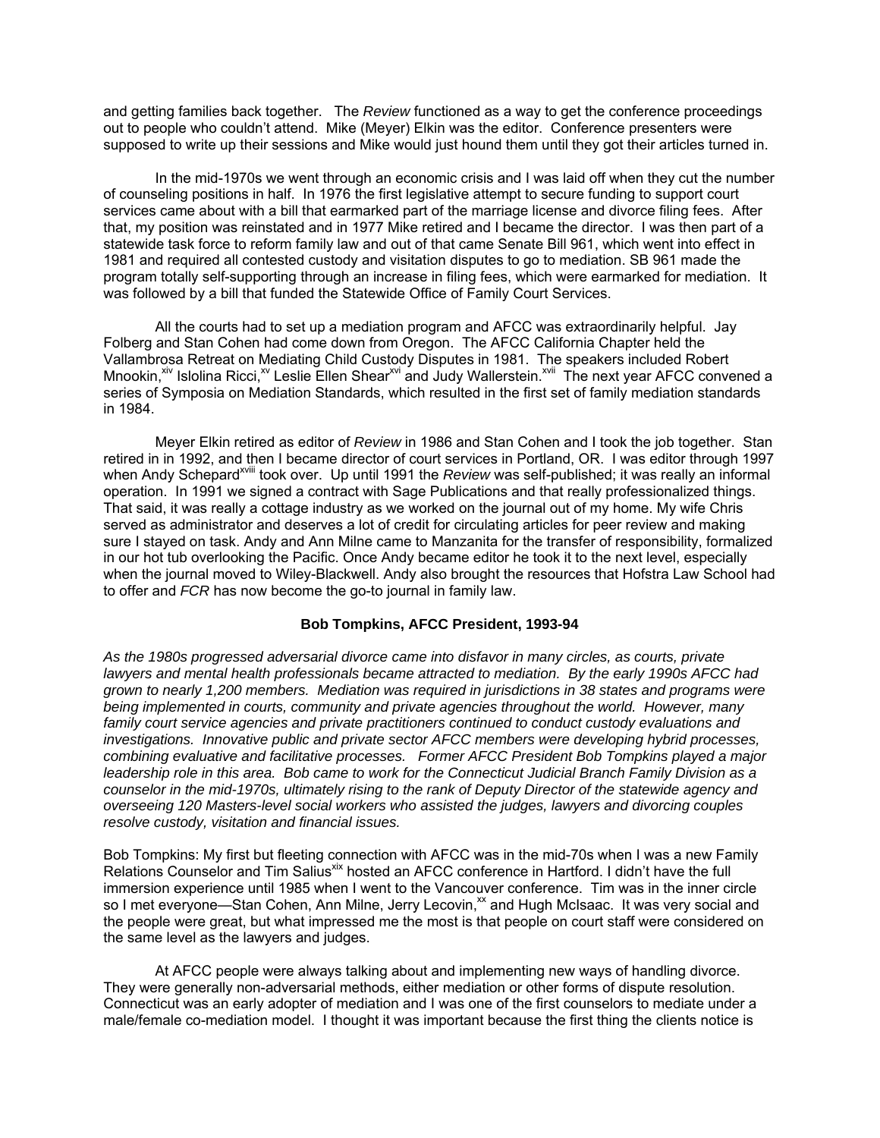and getting families back together. The *Review* functioned as a way to get the conference proceedings out to people who couldn't attend. Mike (Meyer) Elkin was the editor. Conference presenters were supposed to write up their sessions and Mike would just hound them until they got their articles turned in.

In the mid-1970s we went through an economic crisis and I was laid off when they cut the number of counseling positions in half. In 1976 the first legislative attempt to secure funding to support court services came about with a bill that earmarked part of the marriage license and divorce filing fees. After that, my position was reinstated and in 1977 Mike retired and I became the director. I was then part of a statewide task force to reform family law and out of that came Senate Bill 961, which went into effect in 1981 and required all contested custody and visitation disputes to go to mediation. SB 961 made the program totally self-supporting through an increase in filing fees, which were earmarked for mediation. It was followed by a bill that funded the Statewide Office of Family Court Services.

All the courts had to set up a mediation program and AFCC was extraordinarily helpful. Jay Folberg and Stan Cohen had come down from Oregon. The AFCC California Chapter held the Vallambrosa Retreat on Mediating Child Custody Disputes in 1981. The speakers included Robert Mnookin,<sup>xiv</sup> Islolina Ricci,<sup>xv</sup> Leslie Ellen Shear<sup>xvi</sup> and Judy Wallerstein.<sup>xvii</sup> The next year AFCC convened a series of Symposia on Mediation Standards, which resulted in the first set of family mediation standards in 1984.

Meyer Elkin retired as editor of *Review* in 1986 and Stan Cohen and I took the job together. Stan retired in in 1992, and then I became director of court services in Portland, OR. I was editor through 1997 when Andy Schepard<sup>xviii</sup> took over. Up until 1991 the *Review* was self-published; it was really an informal operation. In 1991 we signed a contract with Sage Publications and that really professionalized things. That said, it was really a cottage industry as we worked on the journal out of my home. My wife Chris served as administrator and deserves a lot of credit for circulating articles for peer review and making sure I stayed on task. Andy and Ann Milne came to Manzanita for the transfer of responsibility, formalized in our hot tub overlooking the Pacific. Once Andy became editor he took it to the next level, especially when the journal moved to Wiley-Blackwell. Andy also brought the resources that Hofstra Law School had to offer and *FCR* has now become the go-to journal in family law.

## **Bob Tompkins, AFCC President, 1993-94**

*As the 1980s progressed adversarial divorce came into disfavor in many circles, as courts, private lawyers and mental health professionals became attracted to mediation. By the early 1990s AFCC had grown to nearly 1,200 members. Mediation was required in jurisdictions in 38 states and programs were being implemented in courts, community and private agencies throughout the world. However, many family court service agencies and private practitioners continued to conduct custody evaluations and investigations. Innovative public and private sector AFCC members were developing hybrid processes, combining evaluative and facilitative processes. Former AFCC President Bob Tompkins played a major leadership role in this area. Bob came to work for the Connecticut Judicial Branch Family Division as a counselor in the mid-1970s, ultimately rising to the rank of Deputy Director of the statewide agency and overseeing 120 Masters-level social workers who assisted the judges, lawyers and divorcing couples resolve custody, visitation and financial issues.* 

Bob Tompkins: My first but fleeting connection with AFCC was in the mid-70s when I was a new Family Relations Counselor and Tim Salius<sup>xix</sup> hosted an AFCC conference in Hartford. I didn't have the full immersion experience until 1985 when I went to the Vancouver conference. Tim was in the inner circle so I met everyone—Stan Cohen, Ann Milne, Jerry Lecovin,<sup>xx</sup> and Hugh McIsaac. It was very social and the people were great, but what impressed me the most is that people on court staff were considered on the same level as the lawyers and judges.

At AFCC people were always talking about and implementing new ways of handling divorce. They were generally non-adversarial methods, either mediation or other forms of dispute resolution. Connecticut was an early adopter of mediation and I was one of the first counselors to mediate under a male/female co-mediation model. I thought it was important because the first thing the clients notice is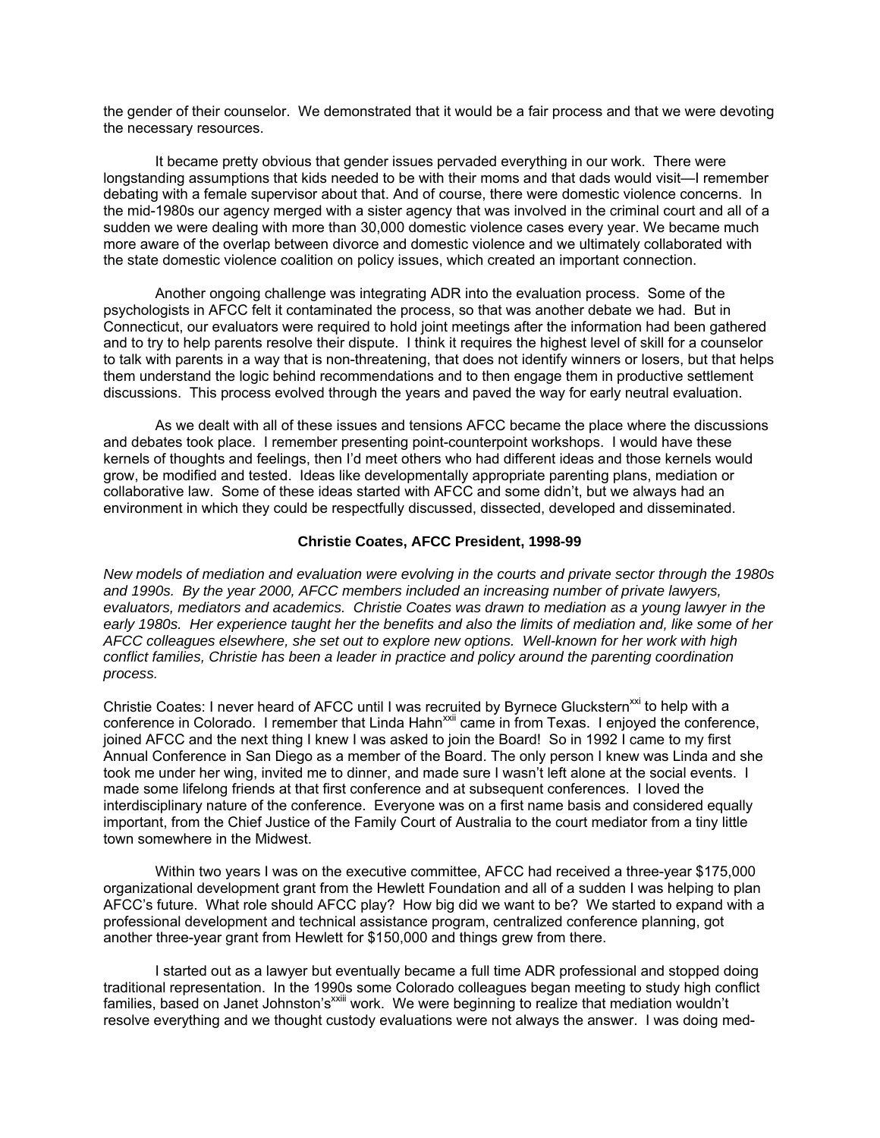the gender of their counselor. We demonstrated that it would be a fair process and that we were devoting the necessary resources.

It became pretty obvious that gender issues pervaded everything in our work. There were longstanding assumptions that kids needed to be with their moms and that dads would visit—I remember debating with a female supervisor about that. And of course, there were domestic violence concerns. In the mid-1980s our agency merged with a sister agency that was involved in the criminal court and all of a sudden we were dealing with more than 30,000 domestic violence cases every year. We became much more aware of the overlap between divorce and domestic violence and we ultimately collaborated with the state domestic violence coalition on policy issues, which created an important connection.

Another ongoing challenge was integrating ADR into the evaluation process. Some of the psychologists in AFCC felt it contaminated the process, so that was another debate we had. But in Connecticut, our evaluators were required to hold joint meetings after the information had been gathered and to try to help parents resolve their dispute. I think it requires the highest level of skill for a counselor to talk with parents in a way that is non-threatening, that does not identify winners or losers, but that helps them understand the logic behind recommendations and to then engage them in productive settlement discussions. This process evolved through the years and paved the way for early neutral evaluation.

As we dealt with all of these issues and tensions AFCC became the place where the discussions and debates took place. I remember presenting point-counterpoint workshops. I would have these kernels of thoughts and feelings, then I'd meet others who had different ideas and those kernels would grow, be modified and tested. Ideas like developmentally appropriate parenting plans, mediation or collaborative law. Some of these ideas started with AFCC and some didn't, but we always had an environment in which they could be respectfully discussed, dissected, developed and disseminated.

#### **Christie Coates, AFCC President, 1998-99**

*New models of mediation and evaluation were evolving in the courts and private sector through the 1980s and 1990s. By the year 2000, AFCC members included an increasing number of private lawyers, evaluators, mediators and academics. Christie Coates was drawn to mediation as a young lawyer in the early 1980s. Her experience taught her the benefits and also the limits of mediation and, like some of her AFCC colleagues elsewhere, she set out to explore new options. Well-known for her work with high conflict families, Christie has been a leader in practice and policy around the parenting coordination process.* 

Christie Coates: I never heard of AFCC until I was recruited by Byrnece Gluckstern<sup>xxi</sup> to help with a conference in Colorado. I remember that Linda Hahn<sup>xxii</sup> came in from Texas. I enjoyed the conference, joined AFCC and the next thing I knew I was asked to join the Board! So in 1992 I came to my first Annual Conference in San Diego as a member of the Board. The only person I knew was Linda and she took me under her wing, invited me to dinner, and made sure I wasn't left alone at the social events. I made some lifelong friends at that first conference and at subsequent conferences. I loved the interdisciplinary nature of the conference. Everyone was on a first name basis and considered equally important, from the Chief Justice of the Family Court of Australia to the court mediator from a tiny little town somewhere in the Midwest.

 Within two years I was on the executive committee, AFCC had received a three-year \$175,000 organizational development grant from the Hewlett Foundation and all of a sudden I was helping to plan AFCC's future. What role should AFCC play? How big did we want to be? We started to expand with a professional development and technical assistance program, centralized conference planning, got another three-year grant from Hewlett for \$150,000 and things grew from there.

I started out as a lawyer but eventually became a full time ADR professional and stopped doing traditional representation. In the 1990s some Colorado colleagues began meeting to study high conflict families, based on Janet Johnston's<sup>xxiii</sup> work. We were beginning to realize that mediation wouldn't resolve everything and we thought custody evaluations were not always the answer. I was doing med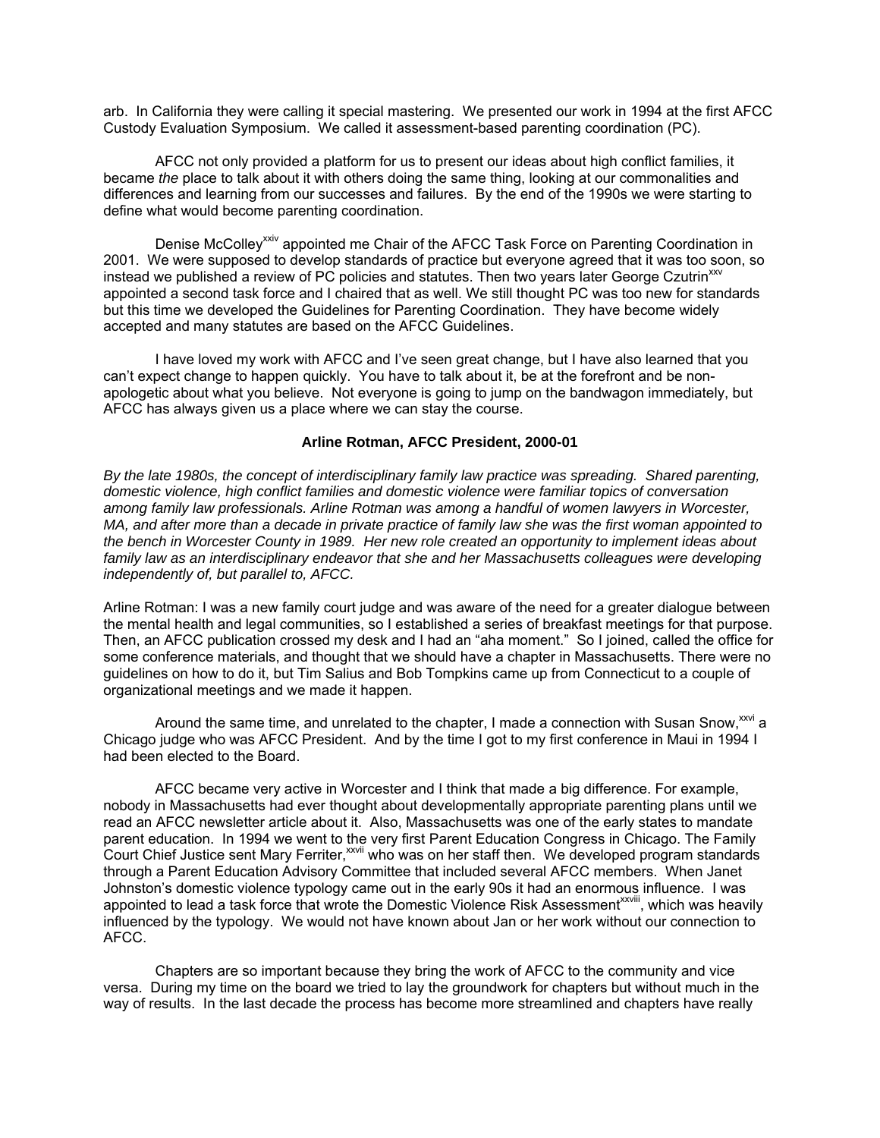arb. In California they were calling it special mastering. We presented our work in 1994 at the first AFCC Custody Evaluation Symposium. We called it assessment-based parenting coordination (PC).

AFCC not only provided a platform for us to present our ideas about high conflict families, it became *the* place to talk about it with others doing the same thing, looking at our commonalities and differences and learning from our successes and failures. By the end of the 1990s we were starting to define what would become parenting coordination.

Denise McColley<sup>xxiv</sup> appointed me Chair of the AFCC Task Force on Parenting Coordination in 2001. We were supposed to develop standards of practice but everyone agreed that it was too soon, so instead we published a review of PC policies and statutes. Then two years later George Czutrin<sup>xxv</sup> appointed a second task force and I chaired that as well. We still thought PC was too new for standards but this time we developed the Guidelines for Parenting Coordination. They have become widely accepted and many statutes are based on the AFCC Guidelines.

I have loved my work with AFCC and I've seen great change, but I have also learned that you can't expect change to happen quickly. You have to talk about it, be at the forefront and be nonapologetic about what you believe. Not everyone is going to jump on the bandwagon immediately, but AFCC has always given us a place where we can stay the course.

## **Arline Rotman, AFCC President, 2000-01**

*By the late 1980s, the concept of interdisciplinary family law practice was spreading. Shared parenting, domestic violence, high conflict families and domestic violence were familiar topics of conversation among family law professionals. Arline Rotman was among a handful of women lawyers in Worcester, MA, and after more than a decade in private practice of family law she was the first woman appointed to the bench in Worcester County in 1989. Her new role created an opportunity to implement ideas about family law as an interdisciplinary endeavor that she and her Massachusetts colleagues were developing independently of, but parallel to, AFCC.* 

Arline Rotman: I was a new family court judge and was aware of the need for a greater dialogue between the mental health and legal communities, so I established a series of breakfast meetings for that purpose. Then, an AFCC publication crossed my desk and I had an "aha moment." So I joined, called the office for some conference materials, and thought that we should have a chapter in Massachusetts. There were no guidelines on how to do it, but Tim Salius and Bob Tompkins came up from Connecticut to a couple of organizational meetings and we made it happen.

Around the same time, and unrelated to the chapter, I made a connection with Susan Snow, $^{xxvi}$  a Chicago judge who was AFCC President. And by the time I got to my first conference in Maui in 1994 I had been elected to the Board.

AFCC became very active in Worcester and I think that made a big difference. For example, nobody in Massachusetts had ever thought about developmentally appropriate parenting plans until we read an AFCC newsletter article about it. Also, Massachusetts was one of the early states to mandate parent education. In 1994 we went to the very first Parent Education Congress in Chicago. The Family Court Chief Justice sent Mary Ferriter,<sup>xxvii</sup> who was on her staff then. We developed program standards through a Parent Education Advisory Committee that included several AFCC members. When Janet Johnston's domestic violence typology came out in the early 90s it had an enormous influence. I was appointed to lead a task force that wrote the Domestic Violence Risk Assessment<sup>xxviii</sup>, which was heavily influenced by the typology. We would not have known about Jan or her work without our connection to AFCC.

Chapters are so important because they bring the work of AFCC to the community and vice versa. During my time on the board we tried to lay the groundwork for chapters but without much in the way of results. In the last decade the process has become more streamlined and chapters have really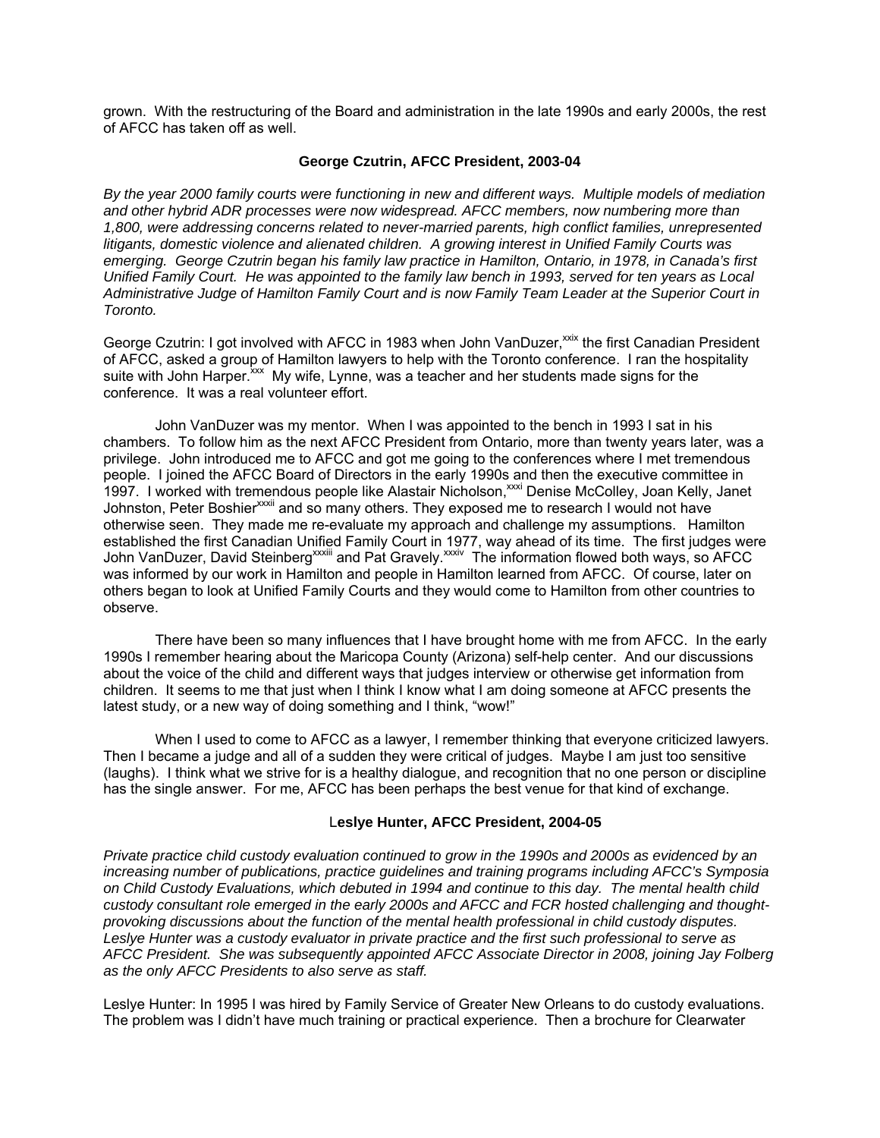grown. With the restructuring of the Board and administration in the late 1990s and early 2000s, the rest of AFCC has taken off as well.

#### **George Czutrin, AFCC President, 2003-04**

*By the year 2000 family courts were functioning in new and different ways. Multiple models of mediation and other hybrid ADR processes were now widespread. AFCC members, now numbering more than 1,800, were addressing concerns related to never-married parents, high conflict families, unrepresented litigants, domestic violence and alienated children. A growing interest in Unified Family Courts was emerging. George Czutrin began his family law practice in Hamilton, Ontario, in 1978, in Canada's first Unified Family Court. He was appointed to the family law bench in 1993, served for ten years as Local Administrative Judge of Hamilton Family Court and is now Family Team Leader at the Superior Court in Toronto.* 

George Czutrin: I got involved with AFCC in 1983 when John VanDuzer,<sup>xxix</sup> the first Canadian President of AFCC, asked a group of Hamilton lawyers to help with the Toronto conference. I ran the hospitality suite with John Harper.<sup>XXX</sup> My wife, Lynne, was a teacher and her students made signs for the conference. It was a real volunteer effort.

John VanDuzer was my mentor. When I was appointed to the bench in 1993 I sat in his chambers. To follow him as the next AFCC President from Ontario, more than twenty years later, was a privilege. John introduced me to AFCC and got me going to the conferences where I met tremendous people. I joined the AFCC Board of Directors in the early 1990s and then the executive committee in 1997. I worked with tremendous people like Alastair Nicholson,<sup>xxxi</sup> Denise McColley, Joan Kelly, Janet Johnston, Peter Boshier<sup>xxxii</sup> and so many others. They exposed me to research I would not have otherwise seen. They made me re-evaluate my approach and challenge my assumptions. Hamilton established the first Canadian Unified Family Court in 1977, way ahead of its time. The first judges were John VanDuzer, David Steinberg<sup>xxxiii</sup> and Pat Gravely.<sup>xxxiv</sup> The information flowed both ways, so AFCC was informed by our work in Hamilton and people in Hamilton learned from AFCC. Of course, later on others began to look at Unified Family Courts and they would come to Hamilton from other countries to observe.

 There have been so many influences that I have brought home with me from AFCC. In the early 1990s I remember hearing about the Maricopa County (Arizona) self-help center. And our discussions about the voice of the child and different ways that judges interview or otherwise get information from children. It seems to me that just when I think I know what I am doing someone at AFCC presents the latest study, or a new way of doing something and I think, "wow!"

When I used to come to AFCC as a lawyer, I remember thinking that everyone criticized lawyers. Then I became a judge and all of a sudden they were critical of judges. Maybe I am just too sensitive (laughs). I think what we strive for is a healthy dialogue, and recognition that no one person or discipline has the single answer. For me, AFCC has been perhaps the best venue for that kind of exchange.

## L**eslye Hunter, AFCC President, 2004-05**

*Private practice child custody evaluation continued to grow in the 1990s and 2000s as evidenced by an increasing number of publications, practice guidelines and training programs including AFCC's Symposia on Child Custody Evaluations, which debuted in 1994 and continue to this day. The mental health child custody consultant role emerged in the early 2000s and AFCC and FCR hosted challenging and thoughtprovoking discussions about the function of the mental health professional in child custody disputes. Leslye Hunter was a custody evaluator in private practice and the first such professional to serve as AFCC President. She was subsequently appointed AFCC Associate Director in 2008, joining Jay Folberg as the only AFCC Presidents to also serve as staff.* 

Leslye Hunter: In 1995 I was hired by Family Service of Greater New Orleans to do custody evaluations. The problem was I didn't have much training or practical experience. Then a brochure for Clearwater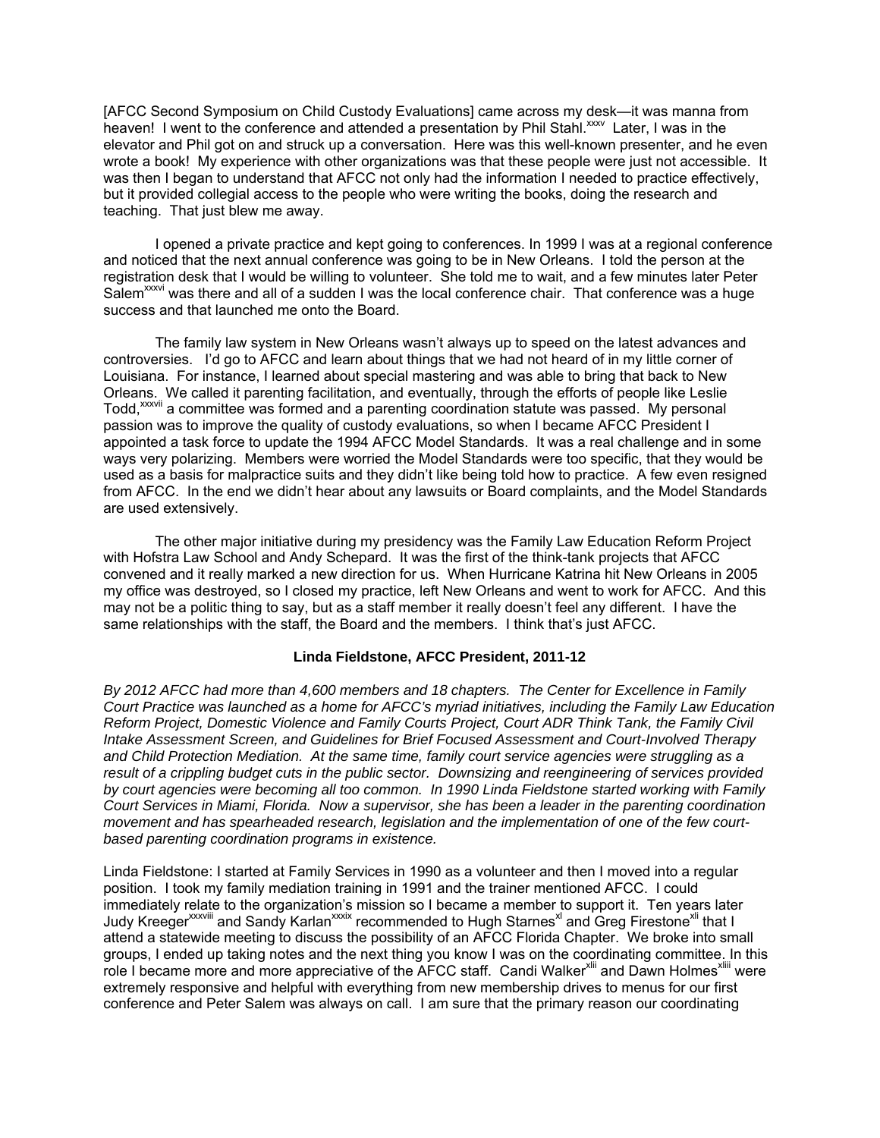[AFCC Second Symposium on Child Custody Evaluations] came across my desk—it was manna from heaven! I went to the conference and attended a presentation by Phil Stanl.<sup>xxxv</sup> Later, I was in the elevator and Phil got on and struck up a conversation. Here was this well-known presenter, and he even wrote a book! My experience with other organizations was that these people were just not accessible. It was then I began to understand that AFCC not only had the information I needed to practice effectively, but it provided collegial access to the people who were writing the books, doing the research and teaching. That just blew me away.

I opened a private practice and kept going to conferences. In 1999 I was at a regional conference and noticed that the next annual conference was going to be in New Orleans. I told the person at the registration desk that I would be willing to volunteer. She told me to wait, and a few minutes later Peter Salem<sup>xxxvi</sup> was there and all of a sudden I was the local conference chair. That conference was a huge success and that launched me onto the Board.

 The family law system in New Orleans wasn't always up to speed on the latest advances and controversies. I'd go to AFCC and learn about things that we had not heard of in my little corner of Louisiana. For instance, I learned about special mastering and was able to bring that back to New Orleans. We called it parenting facilitation, and eventually, through the efforts of people like Leslie Todd,<sup>xxxvii</sup> a committee was formed and a parenting coordination statute was passed. My personal passion was to improve the quality of custody evaluations, so when I became AFCC President I appointed a task force to update the 1994 AFCC Model Standards. It was a real challenge and in some ways very polarizing. Members were worried the Model Standards were too specific, that they would be used as a basis for malpractice suits and they didn't like being told how to practice. A few even resigned from AFCC. In the end we didn't hear about any lawsuits or Board complaints, and the Model Standards are used extensively.

The other major initiative during my presidency was the Family Law Education Reform Project with Hofstra Law School and Andy Schepard. It was the first of the think-tank projects that AFCC convened and it really marked a new direction for us. When Hurricane Katrina hit New Orleans in 2005 my office was destroyed, so I closed my practice, left New Orleans and went to work for AFCC. And this may not be a politic thing to say, but as a staff member it really doesn't feel any different. I have the same relationships with the staff, the Board and the members. I think that's just AFCC.

## **Linda Fieldstone, AFCC President, 2011-12**

*By 2012 AFCC had more than 4,600 members and 18 chapters. The Center for Excellence in Family Court Practice was launched as a home for AFCC's myriad initiatives, including the Family Law Education Reform Project, Domestic Violence and Family Courts Project, Court ADR Think Tank, the Family Civil Intake Assessment Screen, and Guidelines for Brief Focused Assessment and Court-Involved Therapy and Child Protection Mediation. At the same time, family court service agencies were struggling as a result of a crippling budget cuts in the public sector. Downsizing and reengineering of services provided by court agencies were becoming all too common. In 1990 Linda Fieldstone started working with Family Court Services in Miami, Florida. Now a supervisor, she has been a leader in the parenting coordination movement and has spearheaded research, legislation and the implementation of one of the few courtbased parenting coordination programs in existence.* 

Linda Fieldstone: I started at Family Services in 1990 as a volunteer and then I moved into a regular position. I took my family mediation training in 1991 and the trainer mentioned AFCC. I could immediately relate to the organization's mission so I became a member to support it. Ten years later Judy Kreeger<sup>xxxviii</sup> and Sandy Karlan<sup>xxxix</sup> recommended to Hugh Starnes<sup>xl</sup> and Greg Firestone<sup>xli</sup> that I attend a statewide meeting to discuss the possibility of an AFCC Florida Chapter. We broke into small groups, I ended up taking notes and the next thing you know I was on the coordinating committee. In this role I became more and more appreciative of the AFCC staff. Candi Walkerxlii and Dawn Holmesxliii were extremely responsive and helpful with everything from new membership drives to menus for our first conference and Peter Salem was always on call. I am sure that the primary reason our coordinating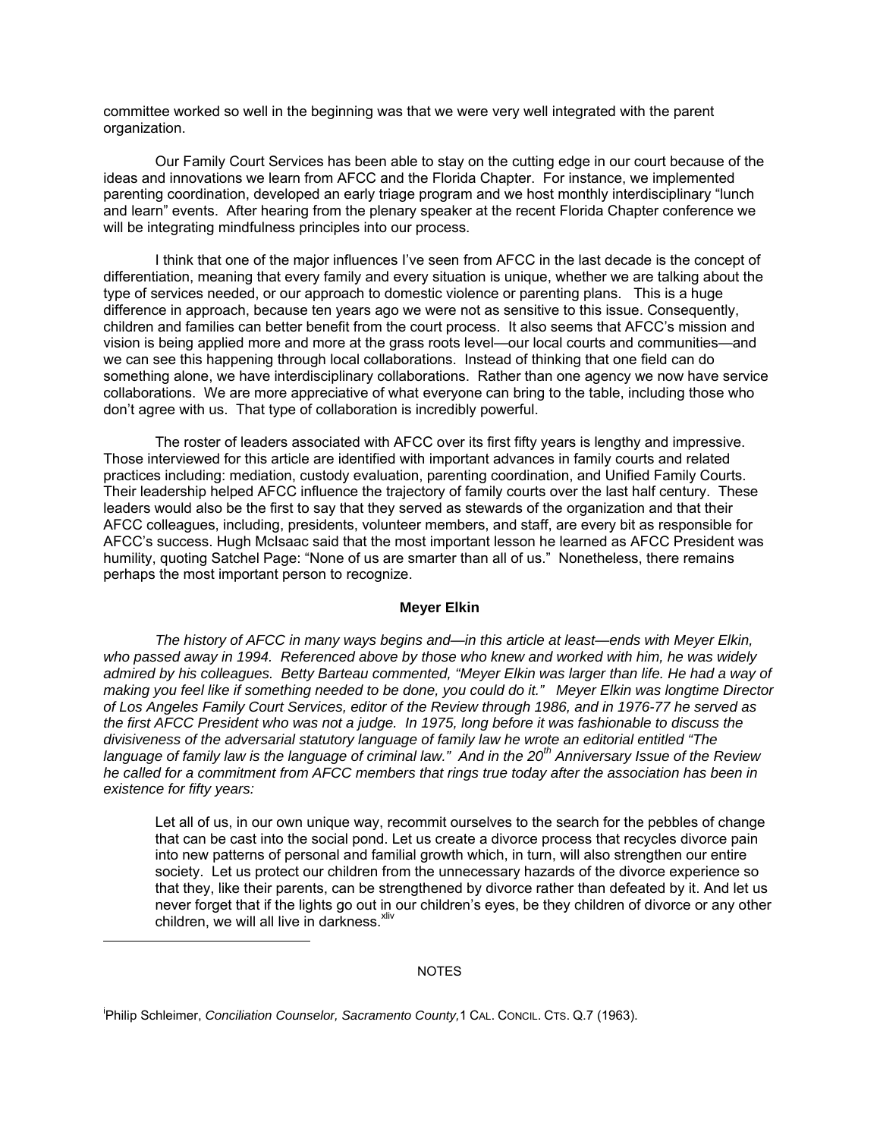committee worked so well in the beginning was that we were very well integrated with the parent organization.

 Our Family Court Services has been able to stay on the cutting edge in our court because of the ideas and innovations we learn from AFCC and the Florida Chapter. For instance, we implemented parenting coordination, developed an early triage program and we host monthly interdisciplinary "lunch and learn" events. After hearing from the plenary speaker at the recent Florida Chapter conference we will be integrating mindfulness principles into our process.

I think that one of the major influences I've seen from AFCC in the last decade is the concept of differentiation, meaning that every family and every situation is unique, whether we are talking about the type of services needed, or our approach to domestic violence or parenting plans. This is a huge difference in approach, because ten years ago we were not as sensitive to this issue. Consequently, children and families can better benefit from the court process. It also seems that AFCC's mission and vision is being applied more and more at the grass roots level—our local courts and communities—and we can see this happening through local collaborations. Instead of thinking that one field can do something alone, we have interdisciplinary collaborations. Rather than one agency we now have service collaborations. We are more appreciative of what everyone can bring to the table, including those who don't agree with us. That type of collaboration is incredibly powerful.

The roster of leaders associated with AFCC over its first fifty years is lengthy and impressive. Those interviewed for this article are identified with important advances in family courts and related practices including: mediation, custody evaluation, parenting coordination, and Unified Family Courts. Their leadership helped AFCC influence the trajectory of family courts over the last half century. These leaders would also be the first to say that they served as stewards of the organization and that their AFCC colleagues, including, presidents, volunteer members, and staff, are every bit as responsible for AFCC's success. Hugh McIsaac said that the most important lesson he learned as AFCC President was humility, quoting Satchel Page: "None of us are smarter than all of us." Nonetheless, there remains perhaps the most important person to recognize.

#### **Meyer Elkin**

*The history of AFCC in many ways begins and—in this article at least—ends with Meyer Elkin, who passed away in 1994. Referenced above by those who knew and worked with him, he was widely admired by his colleagues. Betty Barteau commented, "Meyer Elkin was larger than life. He had a way of making you feel like if something needed to be done, you could do it." Meyer Elkin was longtime Director of Los Angeles Family Court Services, editor of the Review through 1986, and in 1976-77 he served as the first AFCC President who was not a judge. In 1975, long before it was fashionable to discuss the divisiveness of the adversarial statutory language of family law he wrote an editorial entitled "The language of family law is the language of criminal law." And in the 20th Anniversary Issue of the Review he called for a commitment from AFCC members that rings true today after the association has been in existence for fifty years:* 

Let all of us, in our own unique way, recommit ourselves to the search for the pebbles of change that can be cast into the social pond. Let us create a divorce process that recycles divorce pain into new patterns of personal and familial growth which, in turn, will also strengthen our entire society. Let us protect our children from the unnecessary hazards of the divorce experience so that they, like their parents, can be strengthened by divorce rather than defeated by it. And let us never forget that if the lights go out in our children's eyes, be they children of divorce or any other children, we will all live in darkness. $x$ liv

#### **NOTES**

i Philip Schleimer, *Conciliation Counselor, Sacramento County,*1 CAL. CONCIL. CTS. Q.7 (1963).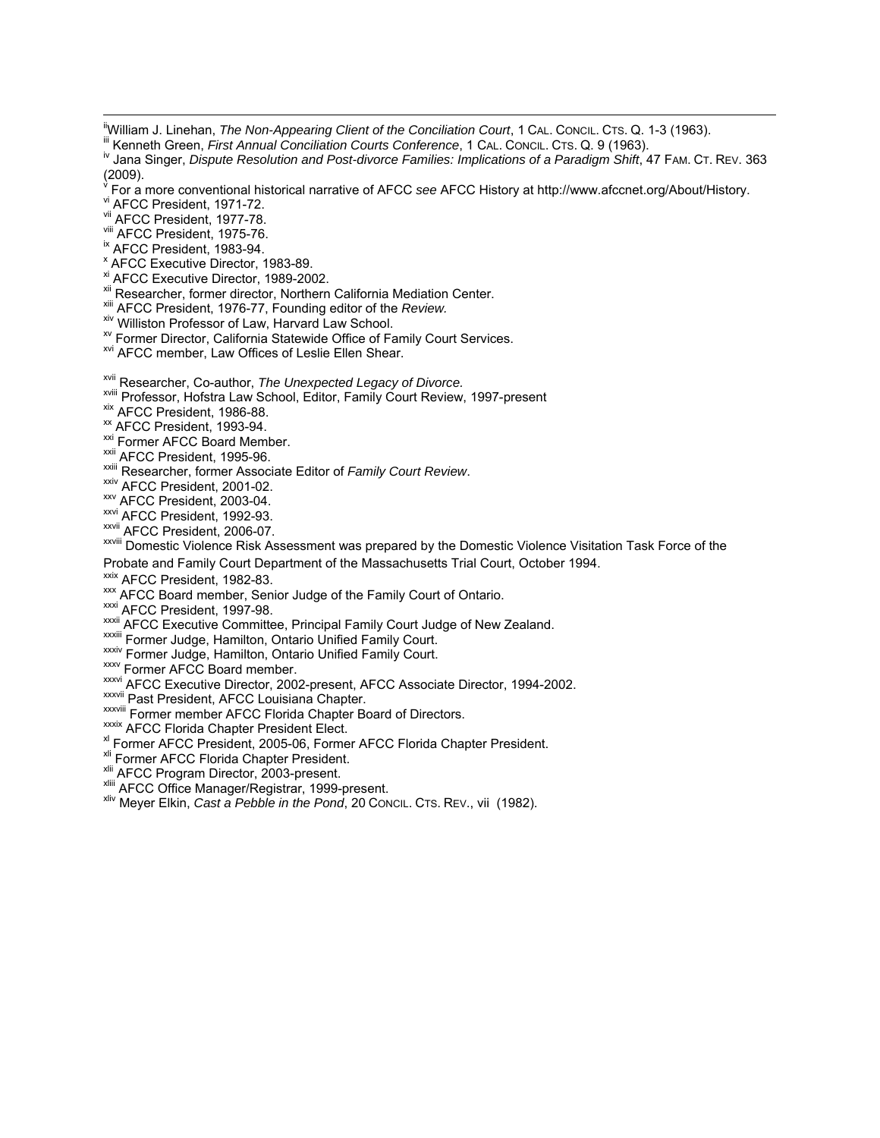о се применени се применени се применени се применени се применени се применени се применени се применени се п<br>В село во село во село во село во село во село во село во село во село во село во село во село во село во село

<sup>ii</sup>William J. Linehan, *The Non-Appearing Client of the Conciliation Court*, 1 CAL. CONCIL. CTS. Q. 1-3 (1963).<br><sup>iii</sup> Kenneth Green, *First Annual Conciliation Courts Conference*, 1 CAL. CONCIL. CTS. Q. 9 (1963).<br><sup>iv</sup> Ja  $(2009)$ .

<sup>V</sup> For a more conventional historical narrative of AFCC *see* AFCC History at http://www.afccnet.org/About/History.<br><sup>Vi</sup> AFCC President, 1971-72.

vii AFCC President, 1977-78.<br>Viii AFCC President, 1975-76.

ix AFCC President, 1983-94.

x AFCC Executive Director, 1983-89.

xi AFCC Executive Director, 1989-2002.

xii Researcher, former director, Northern California Mediation Center.<br><sup>xiii</sup> AFCC President, 1976-77, Founding editor of the *Review.* 

<sup>xiv</sup> Williston Professor of Law, Harvard Law School.<br><sup>xv</sup> Former Director, California Statewide Office of Family Court Services.<br><sup>xvi</sup> AFCC member, Law Offices of Leslie Ellen Shear.

XVII Researcher, Co-author, *The Unexpected Legacy of Divorce.*<br>
XII Professor, Hofstra Law School, Editor, Family Court Review, 1997-present<br>
XX AFCC President, 1993-94.<br>
XX AFCC President, 1993-94.<br>
XXI Former AFCC Posta

Probate and Family Court Department of the Massachusetts Trial Court, October 1994.<br>
<sup>XXIX</sup> AFCC President, 1982-83.<br>
<sup>XXX</sup> AFCC Board member, Senior Judge of the Family Court of Ontario.<br>
<sup>XXXI</sup> AFCC Executive Committee,

<sup>xli</sup> Former AFCC Florida Chapter President.<br><sup>xli</sup> AFCC Program Director, 2003-present.

x<sup>liii</sup> AFCC Office Manager/Registrar, 1999-present.<br><sup>xliv</sup> Meyer Elkin, *Cast a Pebble in the Pond*, 20 Concil. CTs. REV., vii (1982).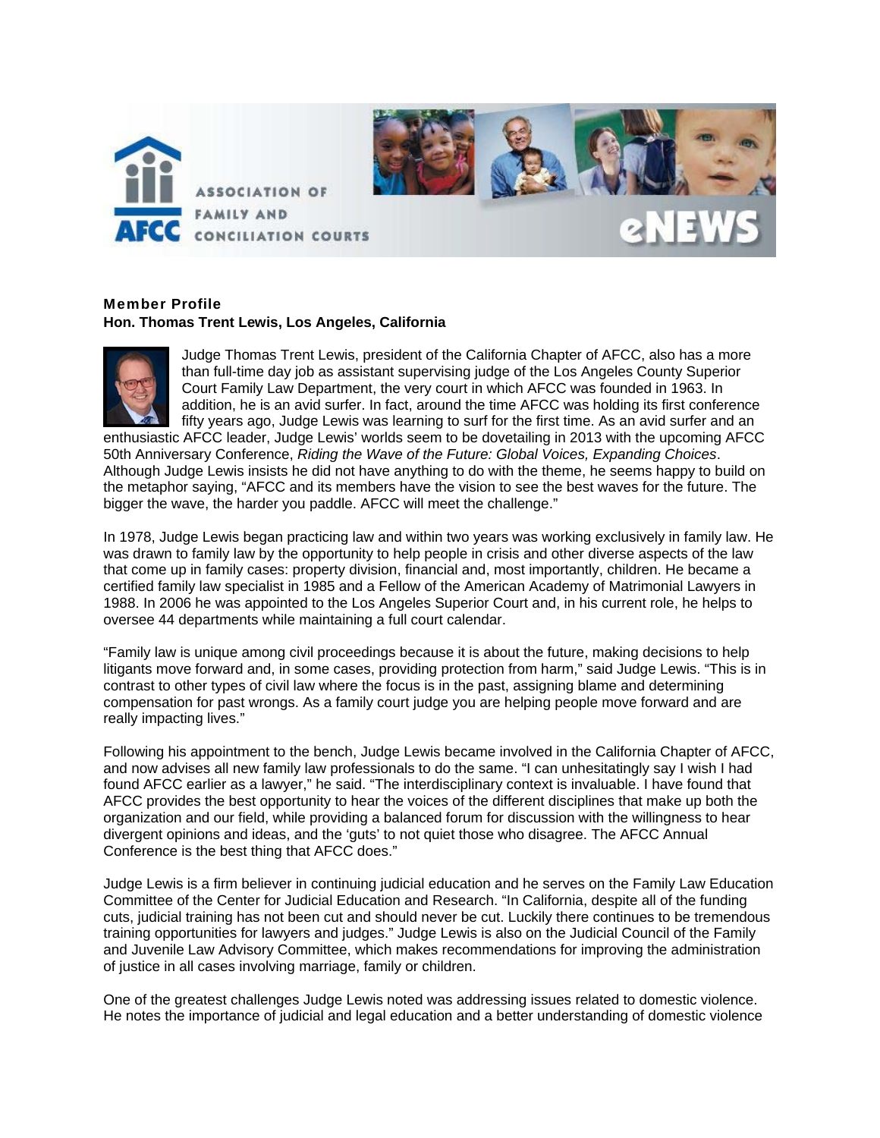

## Member Profile **Hon. Thomas Trent Lewis, Los Angeles, California**



Judge Thomas Trent Lewis, president of the California Chapter of AFCC, also has a more than full-time day job as assistant supervising judge of the Los Angeles County Superior Court Family Law Department, the very court in which AFCC was founded in 1963. In addition, he is an avid surfer. In fact, around the time AFCC was holding its first conference fifty years ago, Judge Lewis was learning to surf for the first time. As an avid surfer and an

enthusiastic AFCC leader, Judge Lewis' worlds seem to be dovetailing in 2013 with the upcoming AFCC 50th Anniversary Conference, *Riding the Wave of the Future: Global Voices, Expanding Choices*. Although Judge Lewis insists he did not have anything to do with the theme, he seems happy to build on the metaphor saying, "AFCC and its members have the vision to see the best waves for the future. The bigger the wave, the harder you paddle. AFCC will meet the challenge."

In 1978, Judge Lewis began practicing law and within two years was working exclusively in family law. He was drawn to family law by the opportunity to help people in crisis and other diverse aspects of the law that come up in family cases: property division, financial and, most importantly, children. He became a certified family law specialist in 1985 and a Fellow of the American Academy of Matrimonial Lawyers in 1988. In 2006 he was appointed to the Los Angeles Superior Court and, in his current role, he helps to oversee 44 departments while maintaining a full court calendar.

"Family law is unique among civil proceedings because it is about the future, making decisions to help litigants move forward and, in some cases, providing protection from harm," said Judge Lewis. "This is in contrast to other types of civil law where the focus is in the past, assigning blame and determining compensation for past wrongs. As a family court judge you are helping people move forward and are really impacting lives."

Following his appointment to the bench, Judge Lewis became involved in the California Chapter of AFCC, and now advises all new family law professionals to do the same. "I can unhesitatingly say I wish I had found AFCC earlier as a lawyer," he said. "The interdisciplinary context is invaluable. I have found that AFCC provides the best opportunity to hear the voices of the different disciplines that make up both the organization and our field, while providing a balanced forum for discussion with the willingness to hear divergent opinions and ideas, and the 'guts' to not quiet those who disagree. The AFCC Annual Conference is the best thing that AFCC does."

Judge Lewis is a firm believer in continuing judicial education and he serves on the Family Law Education Committee of the Center for Judicial Education and Research. "In California, despite all of the funding cuts, judicial training has not been cut and should never be cut. Luckily there continues to be tremendous training opportunities for lawyers and judges." Judge Lewis is also on the Judicial Council of the Family and Juvenile Law Advisory Committee, which makes recommendations for improving the administration of justice in all cases involving marriage, family or children.

One of the greatest challenges Judge Lewis noted was addressing issues related to domestic violence. He notes the importance of judicial and legal education and a better understanding of domestic violence